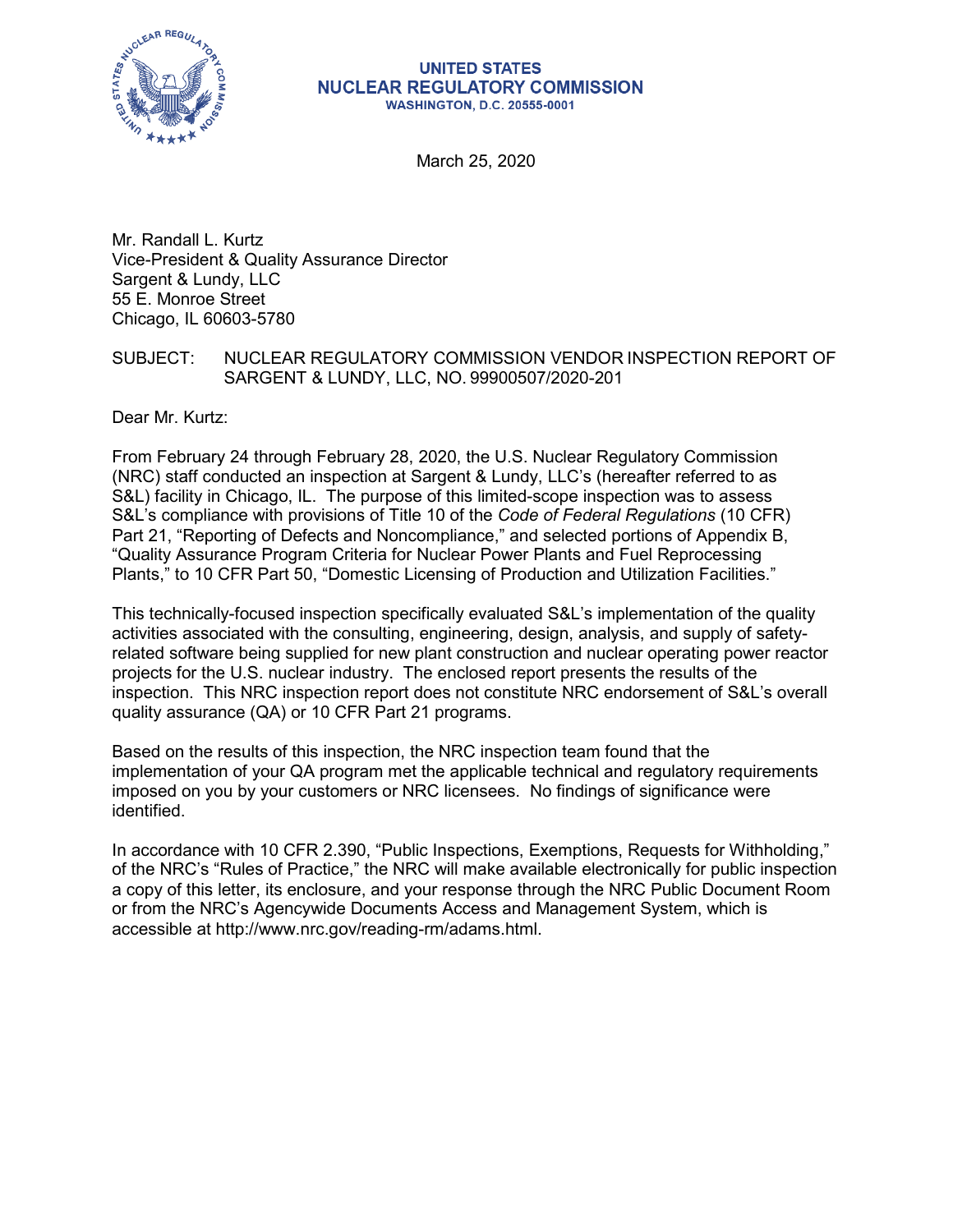

#### **UNITED STATES NUCLEAR REGULATORY COMMISSION WASHINGTON, D.C. 20555-0001**

March 25, 2020

Mr. Randall L. Kurtz Vice-President & Quality Assurance Director Sargent & Lundy, LLC 55 E. Monroe Street Chicago, IL 60603-5780

### SUBJECT: NUCLEAR REGULATORY COMMISSION VENDOR INSPECTION REPORT OF SARGENT & LUNDY, LLC, NO. 99900507/2020-201

Dear Mr. Kurtz:

From February 24 through February 28, 2020, the U.S. Nuclear Regulatory Commission (NRC) staff conducted an inspection at Sargent & Lundy, LLC's (hereafter referred to as S&L) facility in Chicago, IL. The purpose of this limited-scope inspection was to assess S&L's compliance with provisions of Title 10 of the *Code of Federal Regulations* (10 CFR) Part 21, "Reporting of Defects and Noncompliance," and selected portions of Appendix B, "Quality Assurance Program Criteria for Nuclear Power Plants and Fuel Reprocessing Plants," to 10 CFR Part 50, "Domestic Licensing of Production and Utilization Facilities."

This technically-focused inspection specifically evaluated S&L's implementation of the quality activities associated with the consulting, engineering, design, analysis, and supply of safetyrelated software being supplied for new plant construction and nuclear operating power reactor projects for the U.S. nuclear industry. The enclosed report presents the results of the inspection. This NRC inspection report does not constitute NRC endorsement of S&L's overall quality assurance (QA) or 10 CFR Part 21 programs.

Based on the results of this inspection, the NRC inspection team found that the implementation of your QA program met the applicable technical and regulatory requirements imposed on you by your customers or NRC licensees. No findings of significance were identified.

In accordance with 10 CFR 2.390, "Public Inspections, Exemptions, Requests for Withholding," of the NRC's "Rules of Practice," the NRC will make available electronically for public inspection a copy of this letter, its enclosure, and your response through the NRC Public Document Room or from the NRC's Agencywide Documents Access and Management System, which is accessible at http://www.nrc.gov/reading-rm/adams.html.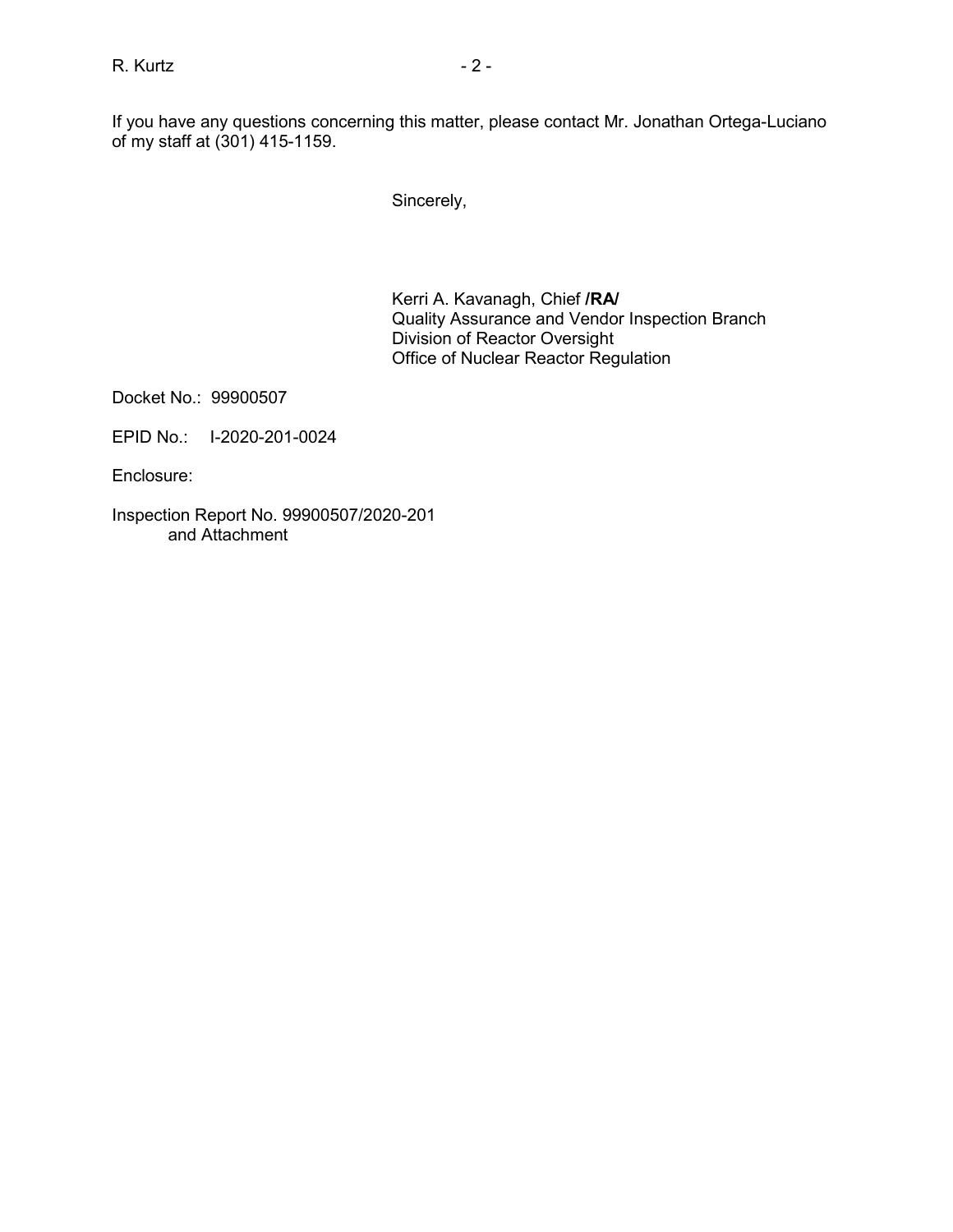Sincerely,

Kerri A. Kavanagh, Chief **/RA/** Quality Assurance and Vendor Inspection Branch Division of Reactor Oversight Office of Nuclear Reactor Regulation

Docket No.: 99900507

EPID No.: I-2020-201-0024

Enclosure:

Inspection Report No. 99900507/2020-201 and Attachment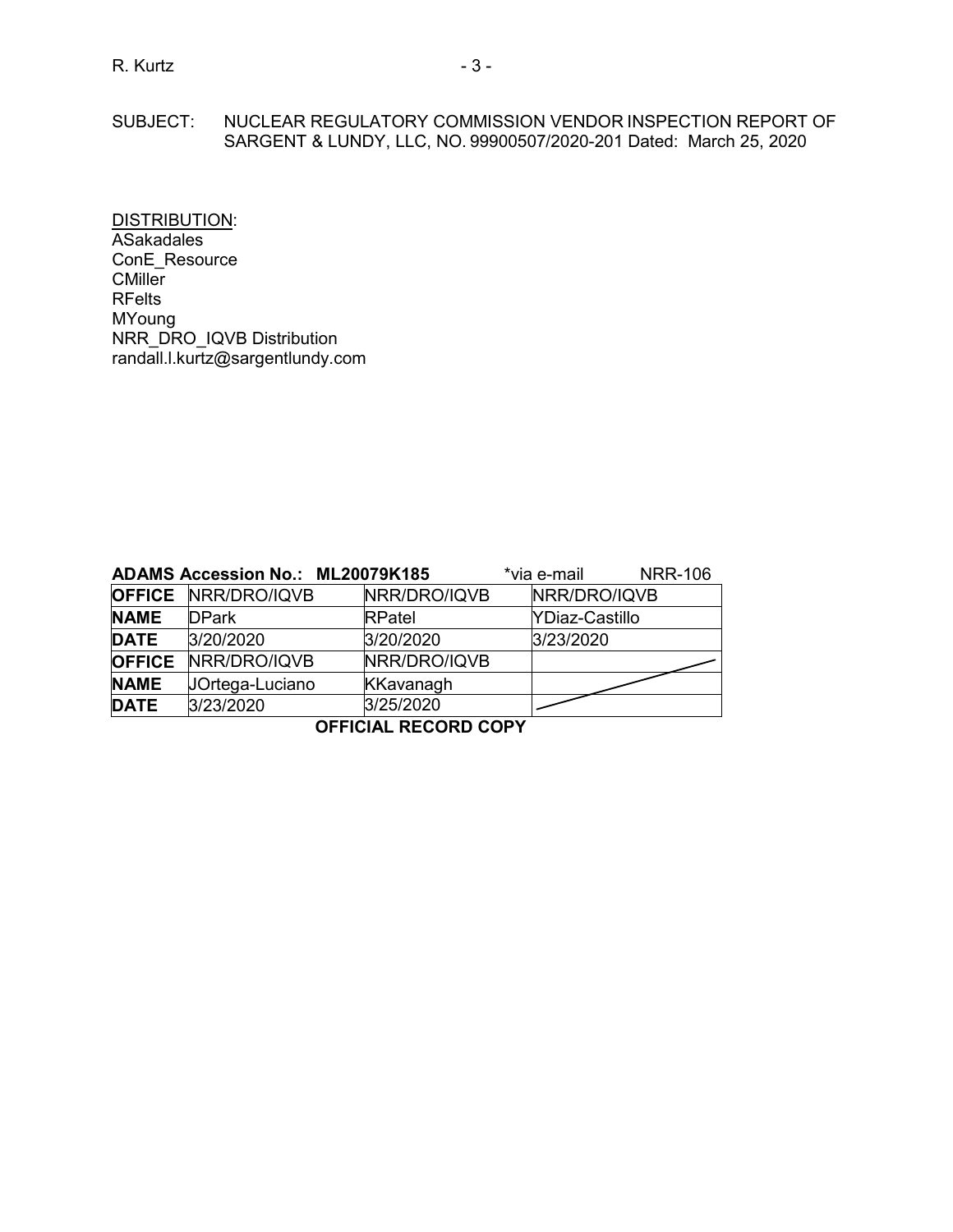# SUBJECT: NUCLEAR REGULATORY COMMISSION VENDOR INSPECTION REPORT OF SARGENT & LUNDY, LLC, NO. 99900507/2020-201 Dated: March 25, 2020

DISTRIBUTION: ASakadales ConE\_Resource **CMiller** RFelts MYoung NRR\_DRO\_IQVB Distribution randall.l.kurtz@sargentlundy.com

|               | ADAMS Accession No.: ML20079K185 |                  | *via e-mail    | <b>NRR-106</b> |
|---------------|----------------------------------|------------------|----------------|----------------|
|               | <b>OFFICE NRR/DRO/IQVB</b>       | NRR/DRO/IQVB     | NRR/DRO/IQVB   |                |
| <b>NAME</b>   | <b>DPark</b>                     | <b>RPatel</b>    | YDiaz-Castillo |                |
| <b>DATE</b>   | 3/20/2020                        | 3/20/2020        | 3/23/2020      |                |
| <b>OFFICE</b> | NRR/DRO/IQVB                     | NRR/DRO/IQVB     |                |                |
| <b>NAME</b>   | JOrtega-Luciano                  | <b>KKavanagh</b> |                |                |
| <b>DATE</b>   | 3/23/2020                        | 3/25/2020        |                |                |
|               |                                  |                  |                |                |

**OFFICIAL RECORD COPY**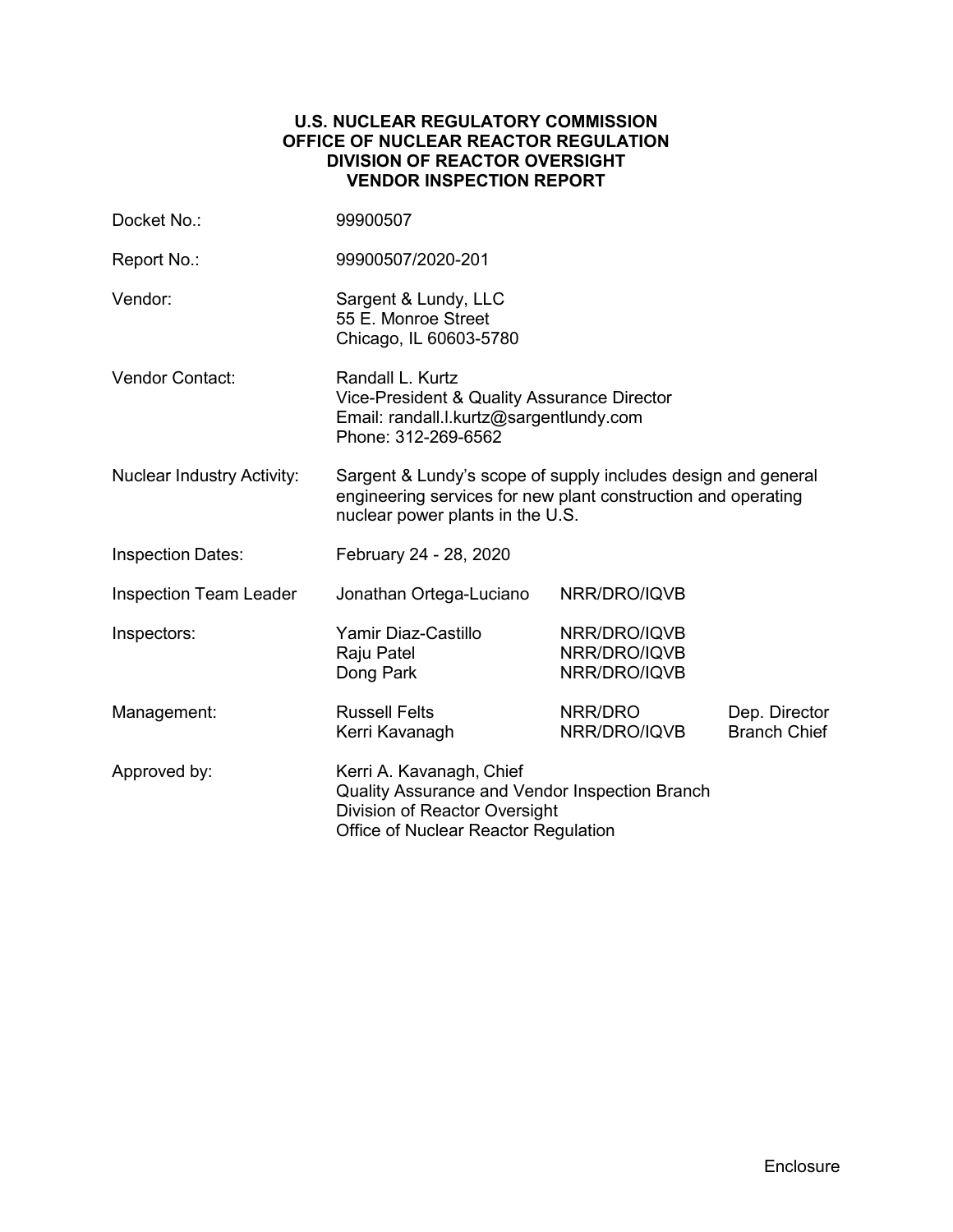### **U.S. NUCLEAR REGULATORY COMMISSION OFFICE OF NUCLEAR REACTOR REGULATION DIVISION OF REACTOR OVERSIGHT VENDOR INSPECTION REPORT**

| Docket No.:                       | 99900507                                                                                                                                                           |                                              |                                      |
|-----------------------------------|--------------------------------------------------------------------------------------------------------------------------------------------------------------------|----------------------------------------------|--------------------------------------|
| Report No.:                       | 99900507/2020-201                                                                                                                                                  |                                              |                                      |
| Vendor:                           | Sargent & Lundy, LLC<br>55 E. Monroe Street<br>Chicago, IL 60603-5780                                                                                              |                                              |                                      |
| <b>Vendor Contact:</b>            | Randall L. Kurtz<br>Vice-President & Quality Assurance Director<br>Email: randall.l.kurtz@sargentlundy.com<br>Phone: 312-269-6562                                  |                                              |                                      |
| <b>Nuclear Industry Activity:</b> | Sargent & Lundy's scope of supply includes design and general<br>engineering services for new plant construction and operating<br>nuclear power plants in the U.S. |                                              |                                      |
| <b>Inspection Dates:</b>          | February 24 - 28, 2020                                                                                                                                             |                                              |                                      |
| <b>Inspection Team Leader</b>     | Jonathan Ortega-Luciano                                                                                                                                            | NRR/DRO/IQVB                                 |                                      |
| Inspectors:                       | Yamir Diaz-Castillo<br>Raju Patel<br>Dong Park                                                                                                                     | NRR/DRO/IQVB<br>NRR/DRO/IQVB<br>NRR/DRO/IQVB |                                      |
| Management:                       | <b>Russell Felts</b><br>Kerri Kavanagh                                                                                                                             | NRR/DRO<br>NRR/DRO/IQVB                      | Dep. Director<br><b>Branch Chief</b> |
| Approved by:                      | Kerri A. Kavanagh, Chief<br>Quality Assurance and Vendor Inspection Branch<br>Division of Reactor Oversight<br>Office of Nuclear Reactor Regulation                |                                              |                                      |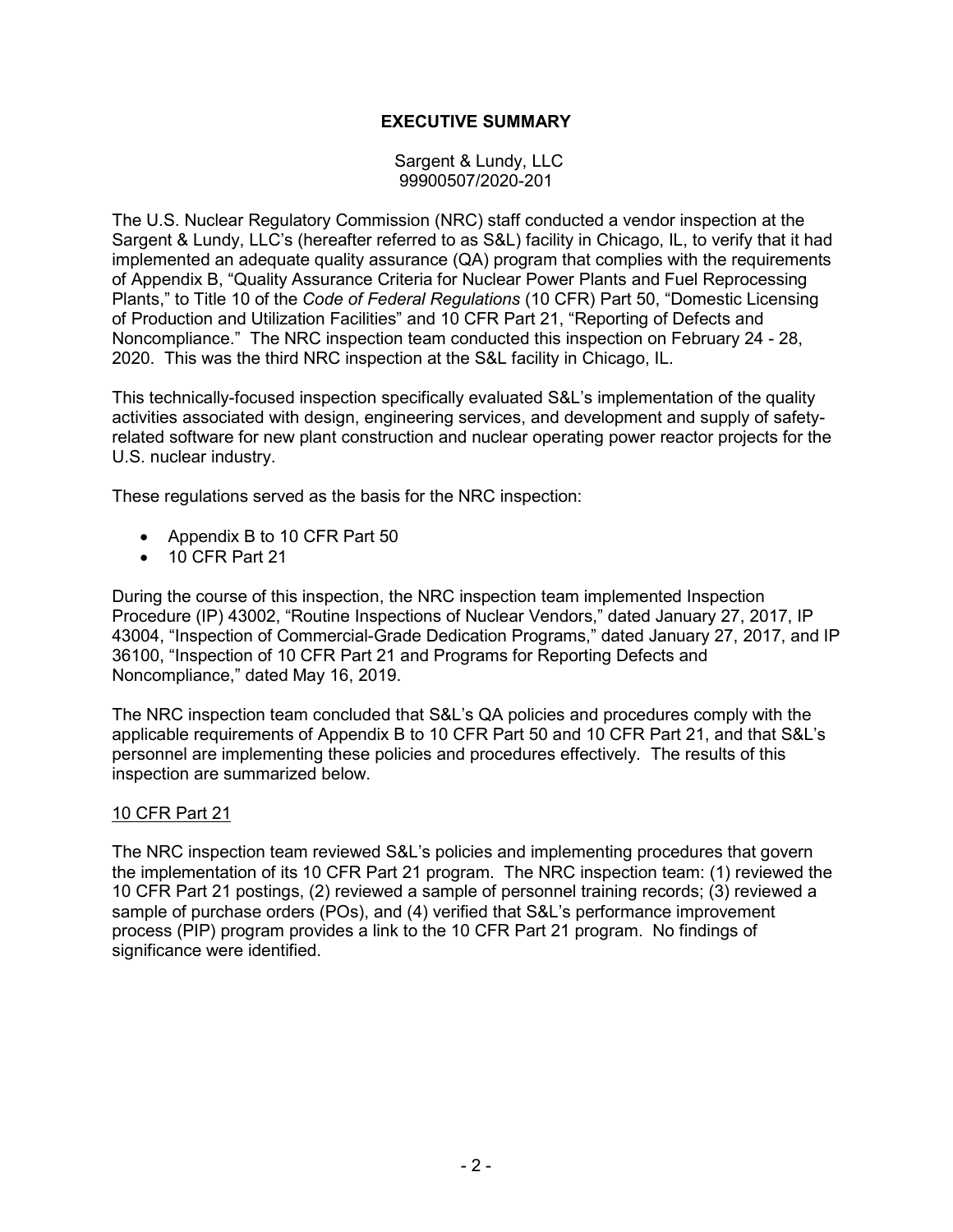# **EXECUTIVE SUMMARY**

Sargent & Lundy, LLC 99900507/2020-201

The U.S. Nuclear Regulatory Commission (NRC) staff conducted a vendor inspection at the Sargent & Lundy, LLC's (hereafter referred to as S&L) facility in Chicago, IL, to verify that it had implemented an adequate quality assurance (QA) program that complies with the requirements of Appendix B, "Quality Assurance Criteria for Nuclear Power Plants and Fuel Reprocessing Plants," to Title 10 of the *Code of Federal Regulations* (10 CFR) Part 50, "Domestic Licensing of Production and Utilization Facilities" and 10 CFR Part 21, "Reporting of Defects and Noncompliance." The NRC inspection team conducted this inspection on February 24 - 28, 2020. This was the third NRC inspection at the S&L facility in Chicago, IL.

This technically-focused inspection specifically evaluated S&L's implementation of the quality activities associated with design, engineering services, and development and supply of safetyrelated software for new plant construction and nuclear operating power reactor projects for the U.S. nuclear industry.

These regulations served as the basis for the NRC inspection:

- Appendix B to 10 CFR Part 50
- 10 CFR Part 21

During the course of this inspection, the NRC inspection team implemented Inspection Procedure (IP) 43002, "Routine Inspections of Nuclear Vendors," dated January 27, 2017, IP 43004, "Inspection of Commercial-Grade Dedication Programs," dated January 27, 2017, and IP 36100, "Inspection of 10 CFR Part 21 and Programs for Reporting Defects and Noncompliance," dated May 16, 2019.

The NRC inspection team concluded that S&L's QA policies and procedures comply with the applicable requirements of Appendix B to 10 CFR Part 50 and 10 CFR Part 21, and that S&L's personnel are implementing these policies and procedures effectively. The results of this inspection are summarized below.

#### 10 CFR Part 21

The NRC inspection team reviewed S&L's policies and implementing procedures that govern the implementation of its 10 CFR Part 21 program. The NRC inspection team: (1) reviewed the 10 CFR Part 21 postings, (2) reviewed a sample of personnel training records; (3) reviewed a sample of purchase orders (POs), and (4) verified that S&L's performance improvement process (PIP) program provides a link to the 10 CFR Part 21 program. No findings of significance were identified.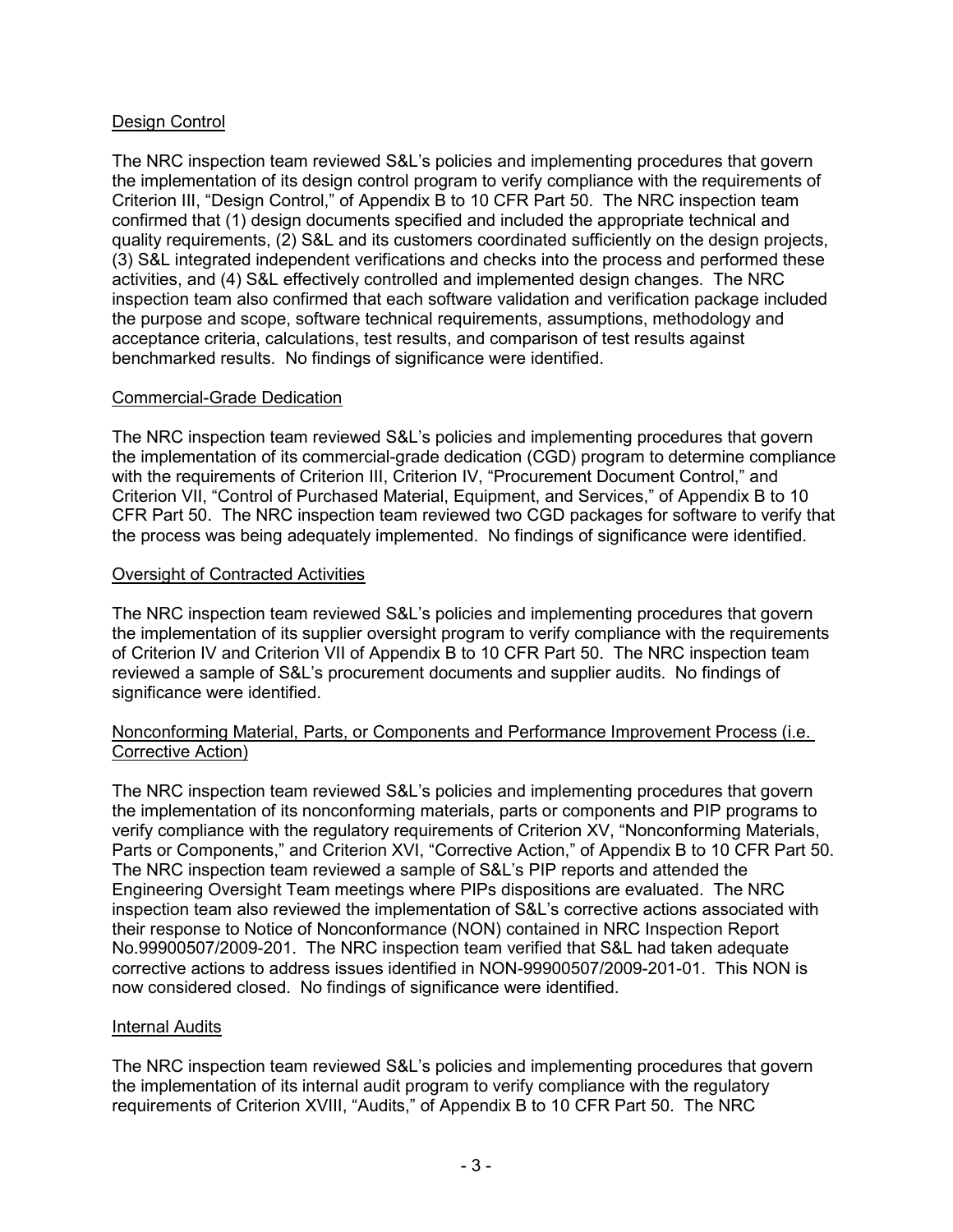# Design Control

The NRC inspection team reviewed S&L's policies and implementing procedures that govern the implementation of its design control program to verify compliance with the requirements of Criterion III, "Design Control," of Appendix B to 10 CFR Part 50. The NRC inspection team confirmed that (1) design documents specified and included the appropriate technical and quality requirements, (2) S&L and its customers coordinated sufficiently on the design projects, (3) S&L integrated independent verifications and checks into the process and performed these activities, and (4) S&L effectively controlled and implemented design changes. The NRC inspection team also confirmed that each software validation and verification package included the purpose and scope, software technical requirements, assumptions, methodology and acceptance criteria, calculations, test results, and comparison of test results against benchmarked results. No findings of significance were identified.

### Commercial-Grade Dedication

The NRC inspection team reviewed S&L's policies and implementing procedures that govern the implementation of its commercial-grade dedication (CGD) program to determine compliance with the requirements of Criterion III, Criterion IV, "Procurement Document Control," and Criterion VII, "Control of Purchased Material, Equipment, and Services," of Appendix B to 10 CFR Part 50. The NRC inspection team reviewed two CGD packages for software to verify that the process was being adequately implemented. No findings of significance were identified.

### Oversight of Contracted Activities

The NRC inspection team reviewed S&L's policies and implementing procedures that govern the implementation of its supplier oversight program to verify compliance with the requirements of Criterion IV and Criterion VII of Appendix B to 10 CFR Part 50. The NRC inspection team reviewed a sample of S&L's procurement documents and supplier audits. No findings of significance were identified.

### Nonconforming Material, Parts, or Components and Performance Improvement Process (i.e. Corrective Action)

The NRC inspection team reviewed S&L's policies and implementing procedures that govern the implementation of its nonconforming materials, parts or components and PIP programs to verify compliance with the regulatory requirements of Criterion XV, "Nonconforming Materials, Parts or Components," and Criterion XVI, "Corrective Action," of Appendix B to 10 CFR Part 50. The NRC inspection team reviewed a sample of S&L's PIP reports and attended the Engineering Oversight Team meetings where PIPs dispositions are evaluated. The NRC inspection team also reviewed the implementation of S&L's corrective actions associated with their response to Notice of Nonconformance (NON) contained in NRC Inspection Report No.99900507/2009-201. The NRC inspection team verified that S&L had taken adequate corrective actions to address issues identified in NON-99900507/2009-201-01. This NON is now considered closed. No findings of significance were identified.

# Internal Audits

The NRC inspection team reviewed S&L's policies and implementing procedures that govern the implementation of its internal audit program to verify compliance with the regulatory requirements of Criterion XVIII, "Audits," of Appendix B to 10 CFR Part 50. The NRC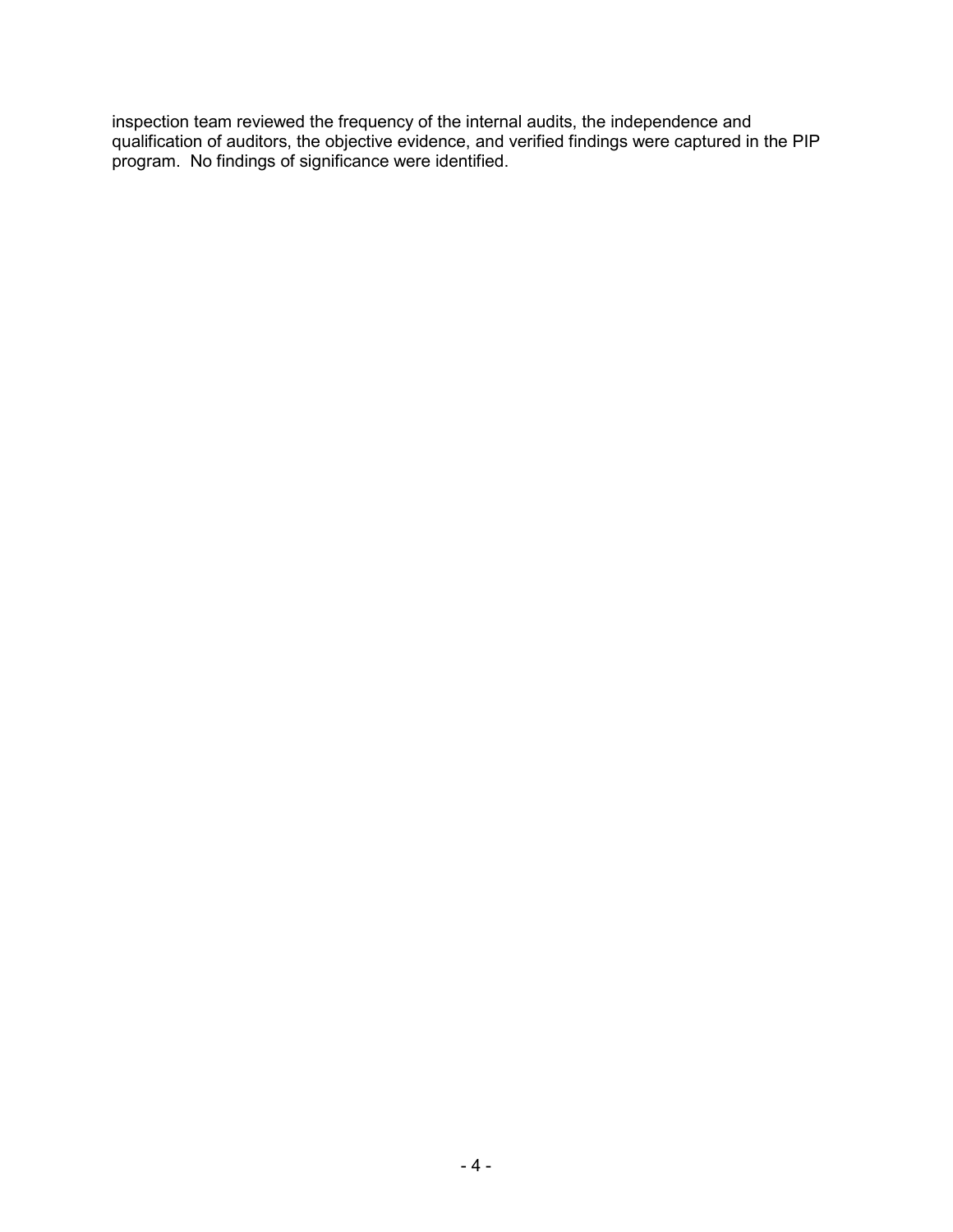inspection team reviewed the frequency of the internal audits, the independence and qualification of auditors, the objective evidence, and verified findings were captured in the PIP program. No findings of significance were identified.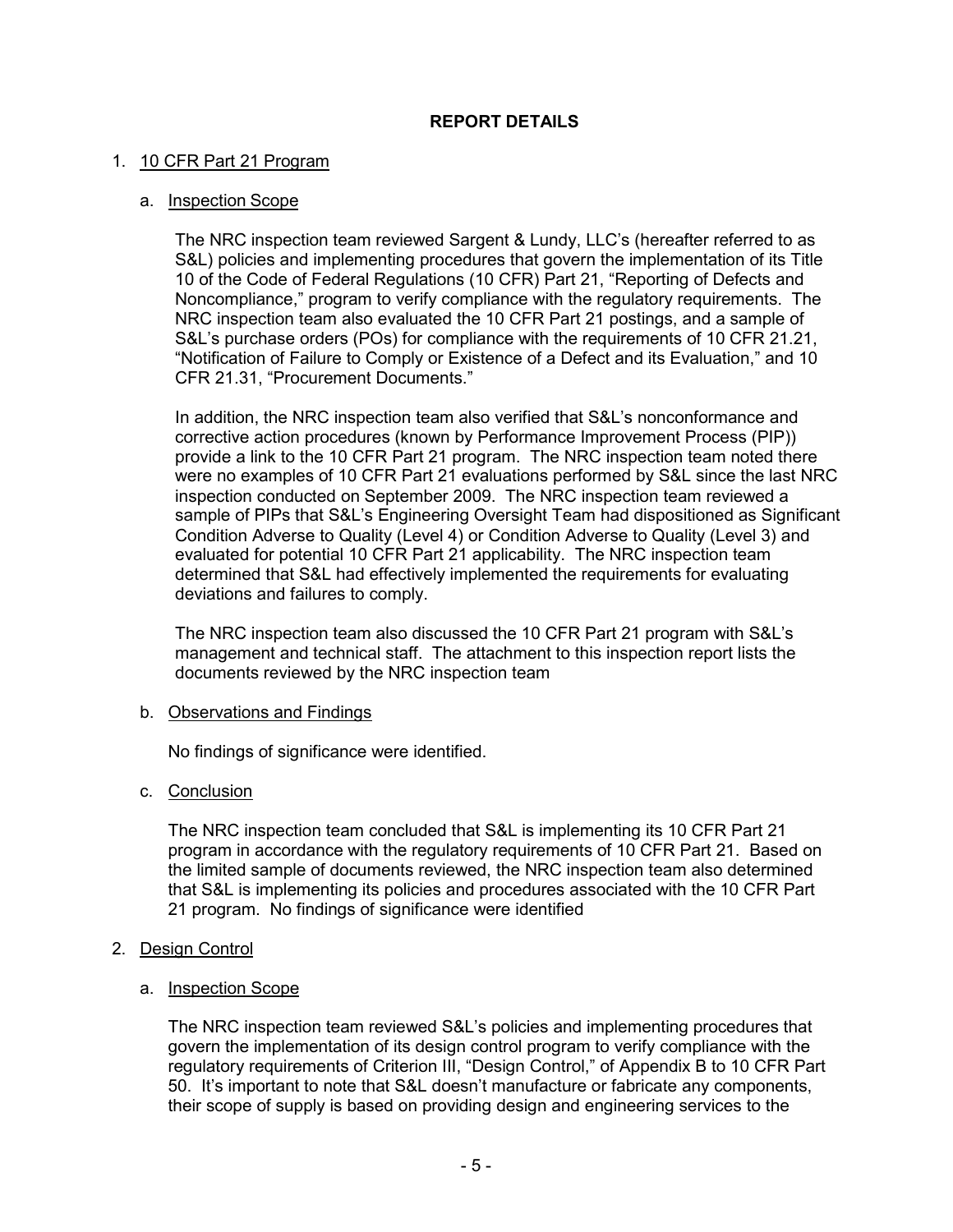# **REPORT DETAILS**

### 1. 10 CFR Part 21 Program

### a. Inspection Scope

The NRC inspection team reviewed Sargent & Lundy, LLC's (hereafter referred to as S&L) policies and implementing procedures that govern the implementation of its Title 10 of the Code of Federal Regulations (10 CFR) Part 21, "Reporting of Defects and Noncompliance," program to verify compliance with the regulatory requirements. The NRC inspection team also evaluated the 10 CFR Part 21 postings, and a sample of S&L's purchase orders (POs) for compliance with the requirements of 10 CFR 21.21, "Notification of Failure to Comply or Existence of a Defect and its Evaluation," and 10 CFR 21.31, "Procurement Documents."

In addition, the NRC inspection team also verified that S&L's nonconformance and corrective action procedures (known by Performance Improvement Process (PIP)) provide a link to the 10 CFR Part 21 program. The NRC inspection team noted there were no examples of 10 CFR Part 21 evaluations performed by S&L since the last NRC inspection conducted on September 2009. The NRC inspection team reviewed a sample of PIPs that S&L's Engineering Oversight Team had dispositioned as Significant Condition Adverse to Quality (Level 4) or Condition Adverse to Quality (Level 3) and evaluated for potential 10 CFR Part 21 applicability. The NRC inspection team determined that S&L had effectively implemented the requirements for evaluating deviations and failures to comply.

The NRC inspection team also discussed the 10 CFR Part 21 program with S&L's management and technical staff. The attachment to this inspection report lists the documents reviewed by the NRC inspection team

#### b. Observations and Findings

No findings of significance were identified.

#### c. Conclusion

The NRC inspection team concluded that S&L is implementing its 10 CFR Part 21 program in accordance with the regulatory requirements of 10 CFR Part 21. Based on the limited sample of documents reviewed, the NRC inspection team also determined that S&L is implementing its policies and procedures associated with the 10 CFR Part 21 program. No findings of significance were identified

# 2. Design Control

#### a. Inspection Scope

The NRC inspection team reviewed S&L's policies and implementing procedures that govern the implementation of its design control program to verify compliance with the regulatory requirements of Criterion III, "Design Control," of Appendix B to 10 CFR Part 50. It's important to note that S&L doesn't manufacture or fabricate any components, their scope of supply is based on providing design and engineering services to the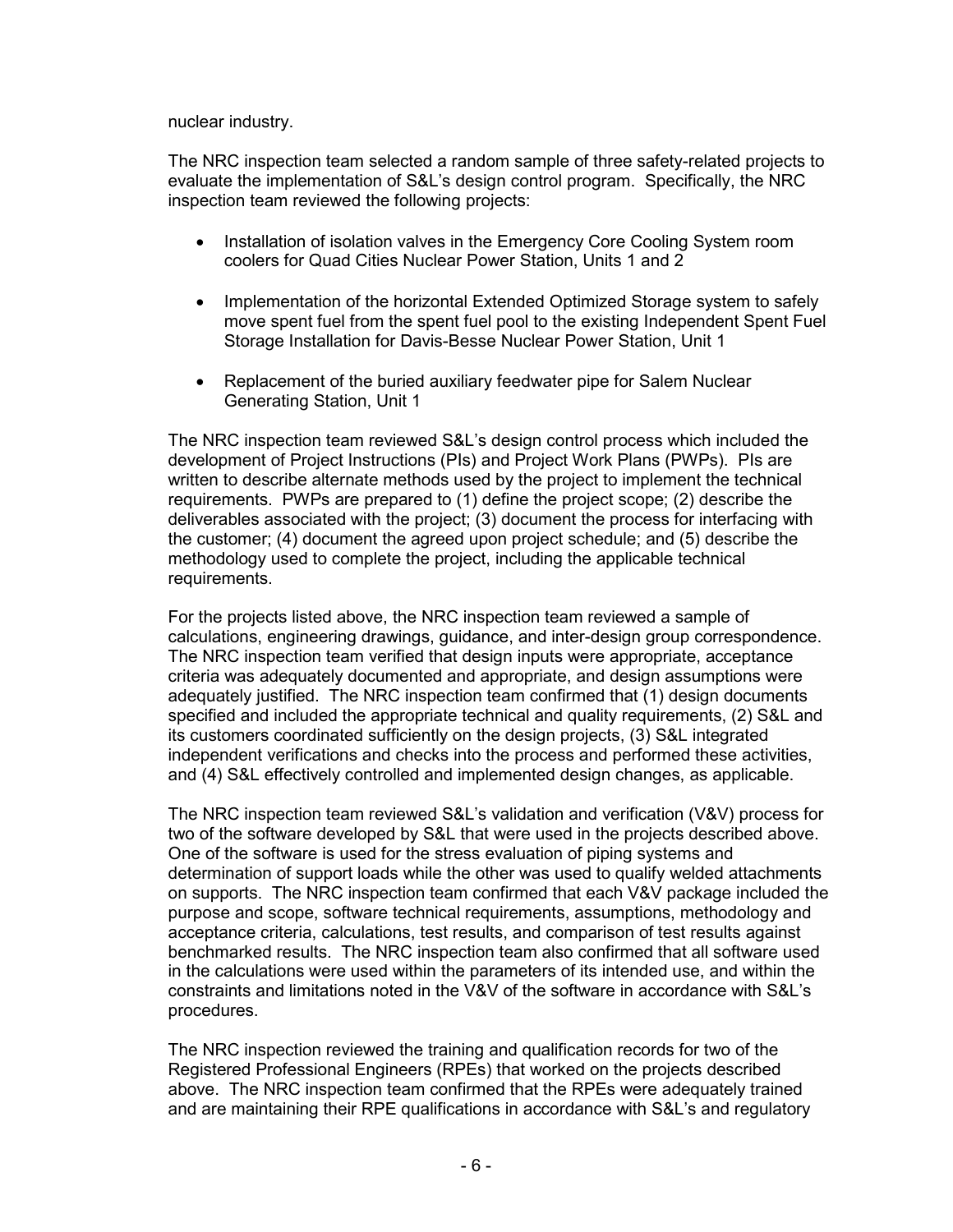nuclear industry.

The NRC inspection team selected a random sample of three safety-related projects to evaluate the implementation of S&L's design control program. Specifically, the NRC inspection team reviewed the following projects:

- Installation of isolation valves in the Emergency Core Cooling System room coolers for Quad Cities Nuclear Power Station, Units 1 and 2
- Implementation of the horizontal Extended Optimized Storage system to safely move spent fuel from the spent fuel pool to the existing Independent Spent Fuel Storage Installation for Davis-Besse Nuclear Power Station, Unit 1
- Replacement of the buried auxiliary feedwater pipe for Salem Nuclear Generating Station, Unit 1

The NRC inspection team reviewed S&L's design control process which included the development of Project Instructions (PIs) and Project Work Plans (PWPs). PIs are written to describe alternate methods used by the project to implement the technical requirements. PWPs are prepared to (1) define the project scope; (2) describe the deliverables associated with the project; (3) document the process for interfacing with the customer; (4) document the agreed upon project schedule; and (5) describe the methodology used to complete the project, including the applicable technical requirements.

For the projects listed above, the NRC inspection team reviewed a sample of calculations, engineering drawings, guidance, and inter-design group correspondence. The NRC inspection team verified that design inputs were appropriate, acceptance criteria was adequately documented and appropriate, and design assumptions were adequately justified. The NRC inspection team confirmed that (1) design documents specified and included the appropriate technical and quality requirements, (2) S&L and its customers coordinated sufficiently on the design projects, (3) S&L integrated independent verifications and checks into the process and performed these activities, and (4) S&L effectively controlled and implemented design changes, as applicable.

The NRC inspection team reviewed S&L's validation and verification (V&V) process for two of the software developed by S&L that were used in the projects described above. One of the software is used for the stress evaluation of piping systems and determination of support loads while the other was used to qualify welded attachments on supports. The NRC inspection team confirmed that each V&V package included the purpose and scope, software technical requirements, assumptions, methodology and acceptance criteria, calculations, test results, and comparison of test results against benchmarked results. The NRC inspection team also confirmed that all software used in the calculations were used within the parameters of its intended use, and within the constraints and limitations noted in the V&V of the software in accordance with S&L's procedures.

The NRC inspection reviewed the training and qualification records for two of the Registered Professional Engineers (RPEs) that worked on the projects described above. The NRC inspection team confirmed that the RPEs were adequately trained and are maintaining their RPE qualifications in accordance with S&L's and regulatory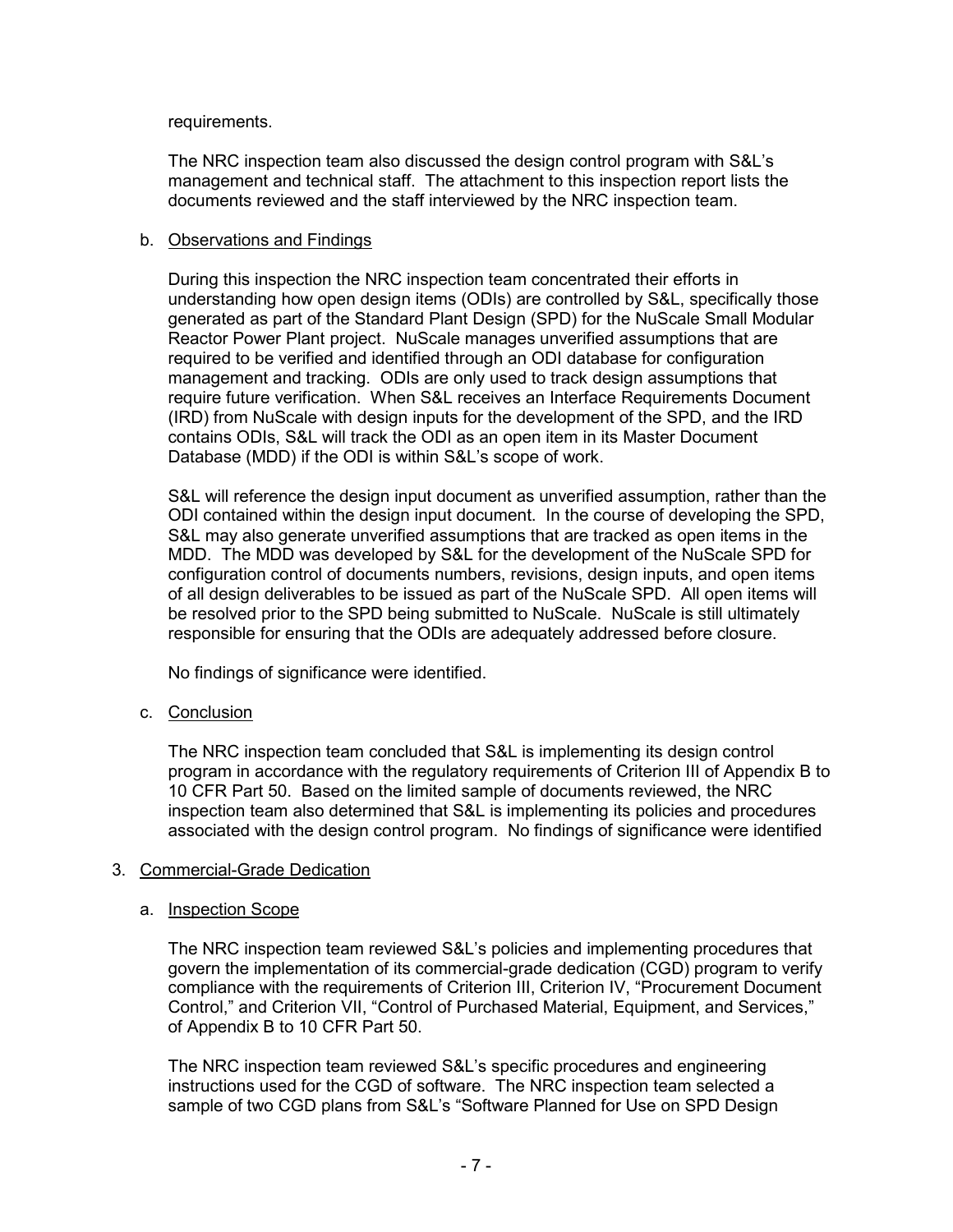### requirements.

The NRC inspection team also discussed the design control program with S&L's management and technical staff. The attachment to this inspection report lists the documents reviewed and the staff interviewed by the NRC inspection team.

### b. Observations and Findings

During this inspection the NRC inspection team concentrated their efforts in understanding how open design items (ODIs) are controlled by S&L, specifically those generated as part of the Standard Plant Design (SPD) for the NuScale Small Modular Reactor Power Plant project. NuScale manages unverified assumptions that are required to be verified and identified through an ODI database for configuration management and tracking. ODIs are only used to track design assumptions that require future verification. When S&L receives an Interface Requirements Document (IRD) from NuScale with design inputs for the development of the SPD, and the IRD contains ODIs, S&L will track the ODI as an open item in its Master Document Database (MDD) if the ODI is within S&L's scope of work.

S&L will reference the design input document as unverified assumption, rather than the ODI contained within the design input document. In the course of developing the SPD, S&L may also generate unverified assumptions that are tracked as open items in the MDD. The MDD was developed by S&L for the development of the NuScale SPD for configuration control of documents numbers, revisions, design inputs, and open items of all design deliverables to be issued as part of the NuScale SPD. All open items will be resolved prior to the SPD being submitted to NuScale. NuScale is still ultimately responsible for ensuring that the ODIs are adequately addressed before closure.

No findings of significance were identified.

c. Conclusion

The NRC inspection team concluded that S&L is implementing its design control program in accordance with the regulatory requirements of Criterion III of Appendix B to 10 CFR Part 50. Based on the limited sample of documents reviewed, the NRC inspection team also determined that S&L is implementing its policies and procedures associated with the design control program. No findings of significance were identified

# 3. Commercial-Grade Dedication

#### a. Inspection Scope

The NRC inspection team reviewed S&L's policies and implementing procedures that govern the implementation of its commercial-grade dedication (CGD) program to verify compliance with the requirements of Criterion III, Criterion IV, "Procurement Document Control," and Criterion VII, "Control of Purchased Material, Equipment, and Services," of Appendix B to 10 CFR Part 50.

The NRC inspection team reviewed S&L's specific procedures and engineering instructions used for the CGD of software. The NRC inspection team selected a sample of two CGD plans from S&L's "Software Planned for Use on SPD Design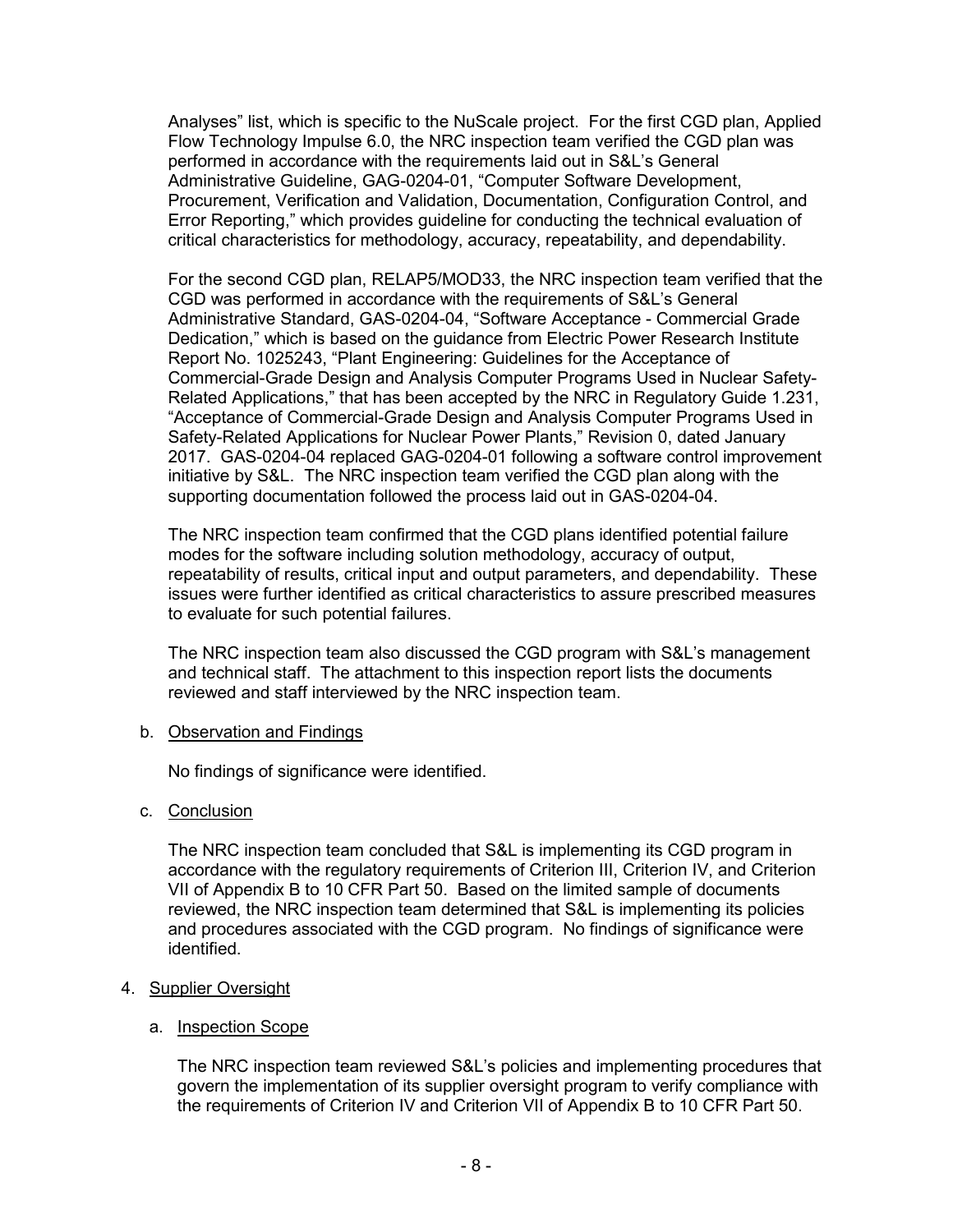Analyses" list, which is specific to the NuScale project. For the first CGD plan, Applied Flow Technology Impulse 6.0, the NRC inspection team verified the CGD plan was performed in accordance with the requirements laid out in S&L's General Administrative Guideline, GAG-0204-01, "Computer Software Development, Procurement, Verification and Validation, Documentation, Configuration Control, and Error Reporting," which provides guideline for conducting the technical evaluation of critical characteristics for methodology, accuracy, repeatability, and dependability.

For the second CGD plan, RELAP5/MOD33, the NRC inspection team verified that the CGD was performed in accordance with the requirements of S&L's General Administrative Standard, GAS-0204-04, "Software Acceptance - Commercial Grade Dedication," which is based on the guidance from Electric Power Research Institute Report No. 1025243, "Plant Engineering: Guidelines for the Acceptance of Commercial-Grade Design and Analysis Computer Programs Used in Nuclear Safety-Related Applications," that has been accepted by the NRC in Regulatory Guide 1.231, "Acceptance of Commercial-Grade Design and Analysis Computer Programs Used in Safety-Related Applications for Nuclear Power Plants," Revision 0, dated January 2017. GAS-0204-04 replaced GAG-0204-01 following a software control improvement initiative by S&L. The NRC inspection team verified the CGD plan along with the supporting documentation followed the process laid out in GAS-0204-04.

The NRC inspection team confirmed that the CGD plans identified potential failure modes for the software including solution methodology, accuracy of output, repeatability of results, critical input and output parameters, and dependability. These issues were further identified as critical characteristics to assure prescribed measures to evaluate for such potential failures.

The NRC inspection team also discussed the CGD program with S&L's management and technical staff. The attachment to this inspection report lists the documents reviewed and staff interviewed by the NRC inspection team.

# b. Observation and Findings

No findings of significance were identified.

# c. Conclusion

The NRC inspection team concluded that S&L is implementing its CGD program in accordance with the regulatory requirements of Criterion III, Criterion IV, and Criterion VII of Appendix B to 10 CFR Part 50. Based on the limited sample of documents reviewed, the NRC inspection team determined that S&L is implementing its policies and procedures associated with the CGD program. No findings of significance were identified.

# 4. Supplier Oversight

# a. Inspection Scope

The NRC inspection team reviewed S&L's policies and implementing procedures that govern the implementation of its supplier oversight program to verify compliance with the requirements of Criterion IV and Criterion VII of Appendix B to 10 CFR Part 50.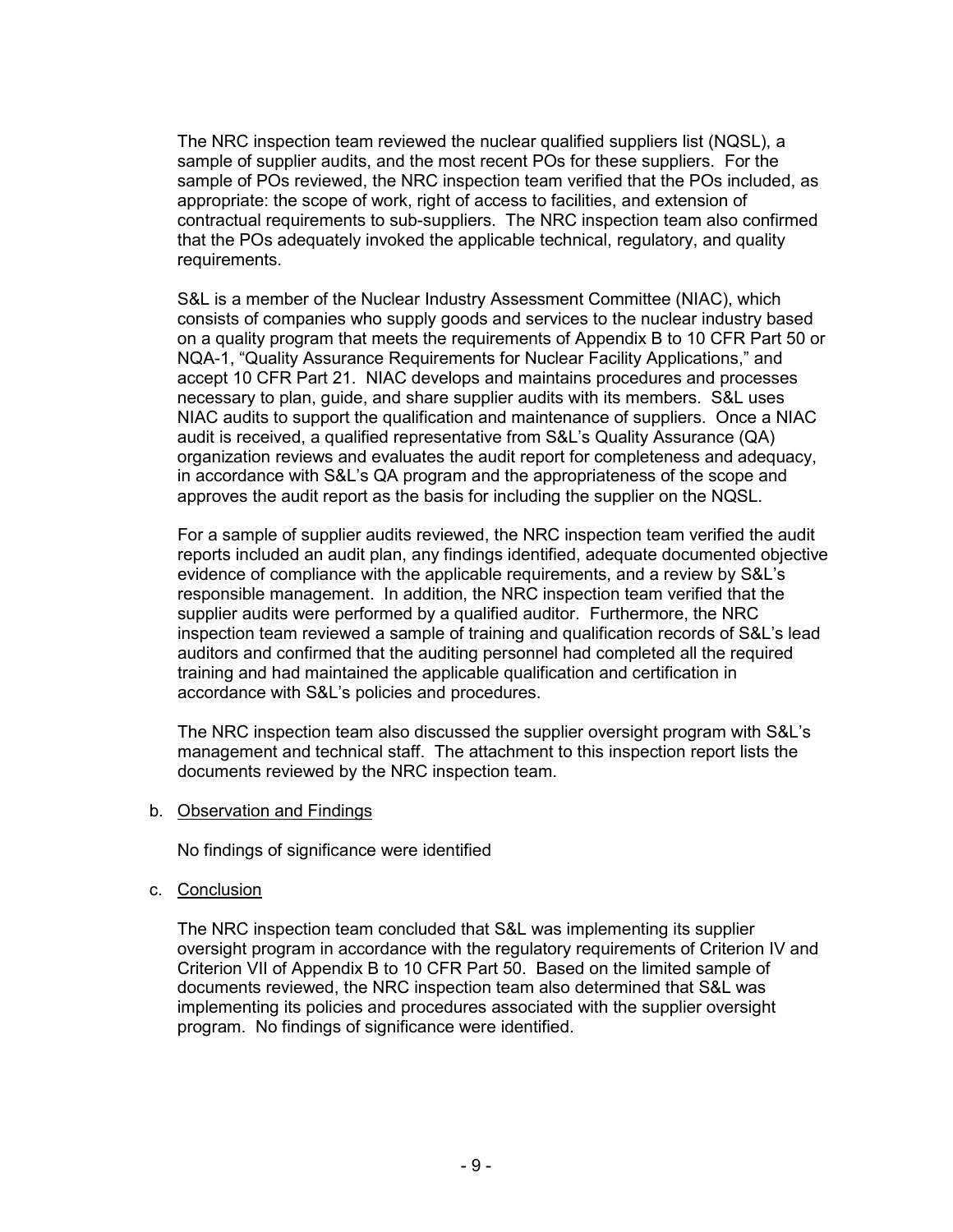The NRC inspection team reviewed the nuclear qualified suppliers list (NQSL), a sample of supplier audits, and the most recent POs for these suppliers. For the sample of POs reviewed, the NRC inspection team verified that the POs included, as appropriate: the scope of work, right of access to facilities, and extension of contractual requirements to sub-suppliers. The NRC inspection team also confirmed that the POs adequately invoked the applicable technical, regulatory, and quality requirements.

S&L is a member of the Nuclear Industry Assessment Committee (NIAC), which consists of companies who supply goods and services to the nuclear industry based on a quality program that meets the requirements of Appendix B to 10 CFR Part 50 or NQA-1, "Quality Assurance Requirements for Nuclear Facility Applications," and accept 10 CFR Part 21. NIAC develops and maintains procedures and processes necessary to plan, guide, and share supplier audits with its members. S&L uses NIAC audits to support the qualification and maintenance of suppliers. Once a NIAC audit is received, a qualified representative from S&L's Quality Assurance (QA) organization reviews and evaluates the audit report for completeness and adequacy, in accordance with S&L's QA program and the appropriateness of the scope and approves the audit report as the basis for including the supplier on the NQSL.

For a sample of supplier audits reviewed, the NRC inspection team verified the audit reports included an audit plan, any findings identified, adequate documented objective evidence of compliance with the applicable requirements, and a review by S&L's responsible management. In addition, the NRC inspection team verified that the supplier audits were performed by a qualified auditor. Furthermore, the NRC inspection team reviewed a sample of training and qualification records of S&L's lead auditors and confirmed that the auditing personnel had completed all the required training and had maintained the applicable qualification and certification in accordance with S&L's policies and procedures.

The NRC inspection team also discussed the supplier oversight program with S&L's management and technical staff. The attachment to this inspection report lists the documents reviewed by the NRC inspection team.

b. Observation and Findings

No findings of significance were identified

c. Conclusion

The NRC inspection team concluded that S&L was implementing its supplier oversight program in accordance with the regulatory requirements of Criterion IV and Criterion VII of Appendix B to 10 CFR Part 50. Based on the limited sample of documents reviewed, the NRC inspection team also determined that S&L was implementing its policies and procedures associated with the supplier oversight program. No findings of significance were identified.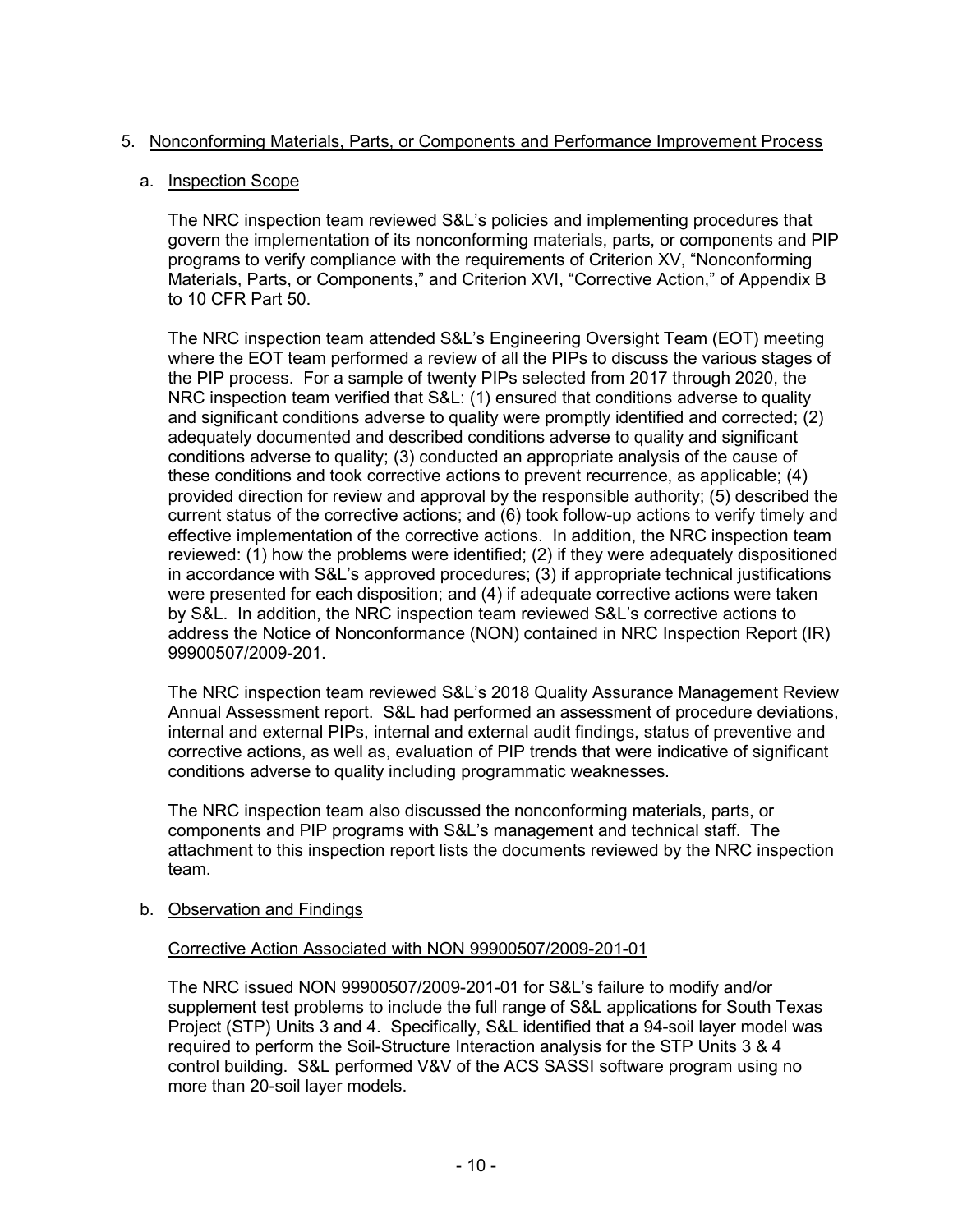# 5. Nonconforming Materials, Parts, or Components and Performance Improvement Process

# a. Inspection Scope

The NRC inspection team reviewed S&L's policies and implementing procedures that govern the implementation of its nonconforming materials, parts, or components and PIP programs to verify compliance with the requirements of Criterion XV, "Nonconforming Materials, Parts, or Components," and Criterion XVI, "Corrective Action," of Appendix B to 10 CFR Part 50.

The NRC inspection team attended S&L's Engineering Oversight Team (EOT) meeting where the EOT team performed a review of all the PIPs to discuss the various stages of the PIP process. For a sample of twenty PIPs selected from 2017 through 2020, the NRC inspection team verified that S&L: (1) ensured that conditions adverse to quality and significant conditions adverse to quality were promptly identified and corrected; (2) adequately documented and described conditions adverse to quality and significant conditions adverse to quality; (3) conducted an appropriate analysis of the cause of these conditions and took corrective actions to prevent recurrence, as applicable; (4) provided direction for review and approval by the responsible authority; (5) described the current status of the corrective actions; and (6) took follow-up actions to verify timely and effective implementation of the corrective actions. In addition, the NRC inspection team reviewed: (1) how the problems were identified; (2) if they were adequately dispositioned in accordance with S&L's approved procedures; (3) if appropriate technical justifications were presented for each disposition; and (4) if adequate corrective actions were taken by S&L. In addition, the NRC inspection team reviewed S&L's corrective actions to address the Notice of Nonconformance (NON) contained in NRC Inspection Report (IR) 99900507/2009-201.

The NRC inspection team reviewed S&L's 2018 Quality Assurance Management Review Annual Assessment report. S&L had performed an assessment of procedure deviations, internal and external PIPs, internal and external audit findings, status of preventive and corrective actions, as well as, evaluation of PIP trends that were indicative of significant conditions adverse to quality including programmatic weaknesses.

The NRC inspection team also discussed the nonconforming materials, parts, or components and PIP programs with S&L's management and technical staff. The attachment to this inspection report lists the documents reviewed by the NRC inspection team.

# b. Observation and Findings

# Corrective Action Associated with NON 99900507/2009-201-01

The NRC issued NON 99900507/2009-201-01 for S&L's failure to modify and/or supplement test problems to include the full range of S&L applications for South Texas Project (STP) Units 3 and 4. Specifically, S&L identified that a 94-soil layer model was required to perform the Soil-Structure Interaction analysis for the STP Units 3 & 4 control building. S&L performed V&V of the ACS SASSI software program using no more than 20-soil layer models.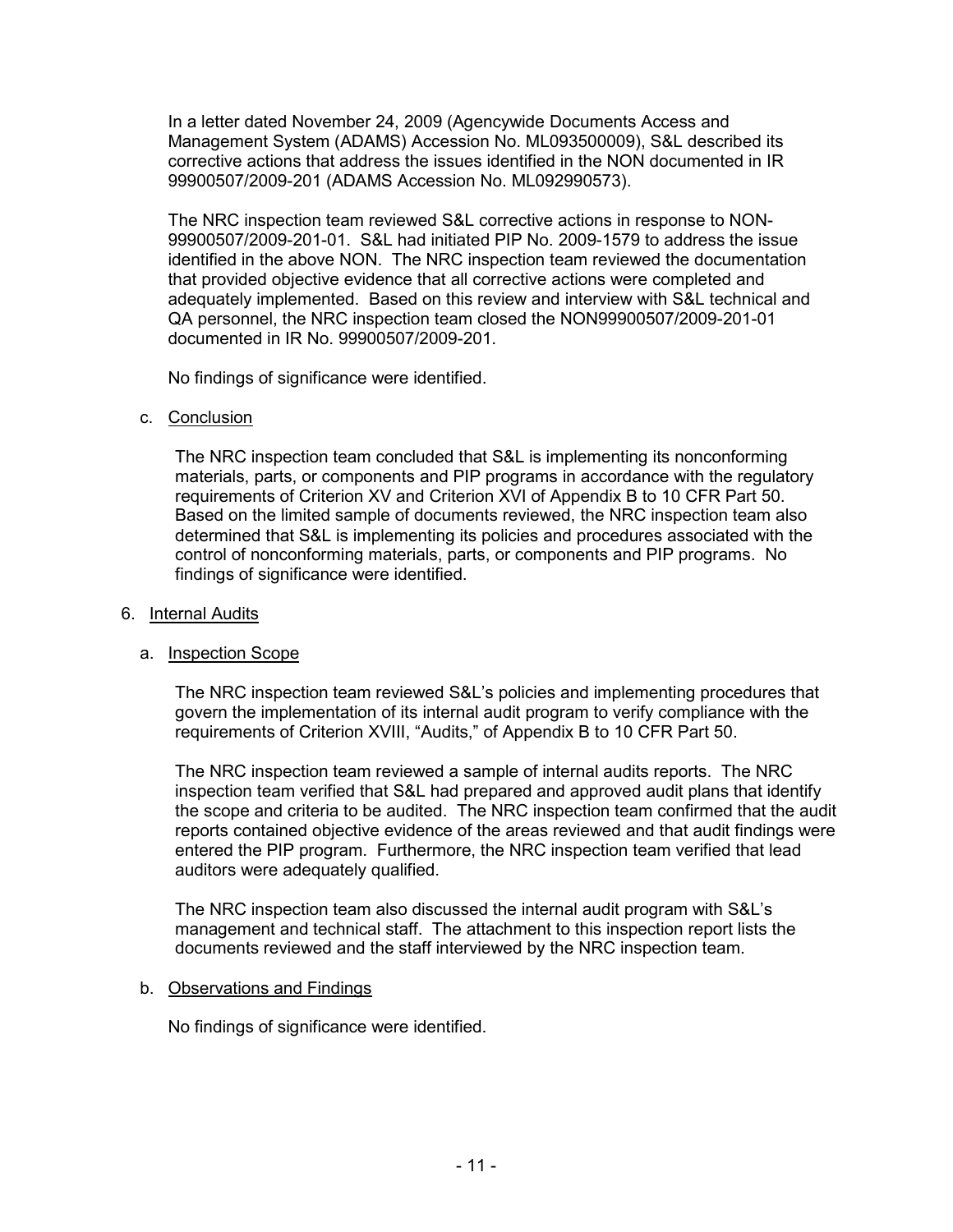In a letter dated November 24, 2009 (Agencywide Documents Access and Management System (ADAMS) Accession No. ML093500009), S&L described its corrective actions that address the issues identified in the NON documented in IR 99900507/2009-201 (ADAMS Accession No. ML092990573).

The NRC inspection team reviewed S&L corrective actions in response to NON-99900507/2009-201-01. S&L had initiated PIP No. 2009-1579 to address the issue identified in the above NON. The NRC inspection team reviewed the documentation that provided objective evidence that all corrective actions were completed and adequately implemented. Based on this review and interview with S&L technical and QA personnel, the NRC inspection team closed the NON99900507/2009-201-01 documented in IR No. 99900507/2009-201.

No findings of significance were identified.

c. Conclusion

The NRC inspection team concluded that S&L is implementing its nonconforming materials, parts, or components and PIP programs in accordance with the regulatory requirements of Criterion XV and Criterion XVI of Appendix B to 10 CFR Part 50. Based on the limited sample of documents reviewed, the NRC inspection team also determined that S&L is implementing its policies and procedures associated with the control of nonconforming materials, parts, or components and PIP programs. No findings of significance were identified.

### 6. Internal Audits

#### a. Inspection Scope

The NRC inspection team reviewed S&L's policies and implementing procedures that govern the implementation of its internal audit program to verify compliance with the requirements of Criterion XVIII, "Audits," of Appendix B to 10 CFR Part 50.

The NRC inspection team reviewed a sample of internal audits reports. The NRC inspection team verified that S&L had prepared and approved audit plans that identify the scope and criteria to be audited. The NRC inspection team confirmed that the audit reports contained objective evidence of the areas reviewed and that audit findings were entered the PIP program. Furthermore, the NRC inspection team verified that lead auditors were adequately qualified.

The NRC inspection team also discussed the internal audit program with S&L's management and technical staff. The attachment to this inspection report lists the documents reviewed and the staff interviewed by the NRC inspection team.

#### b. Observations and Findings

No findings of significance were identified.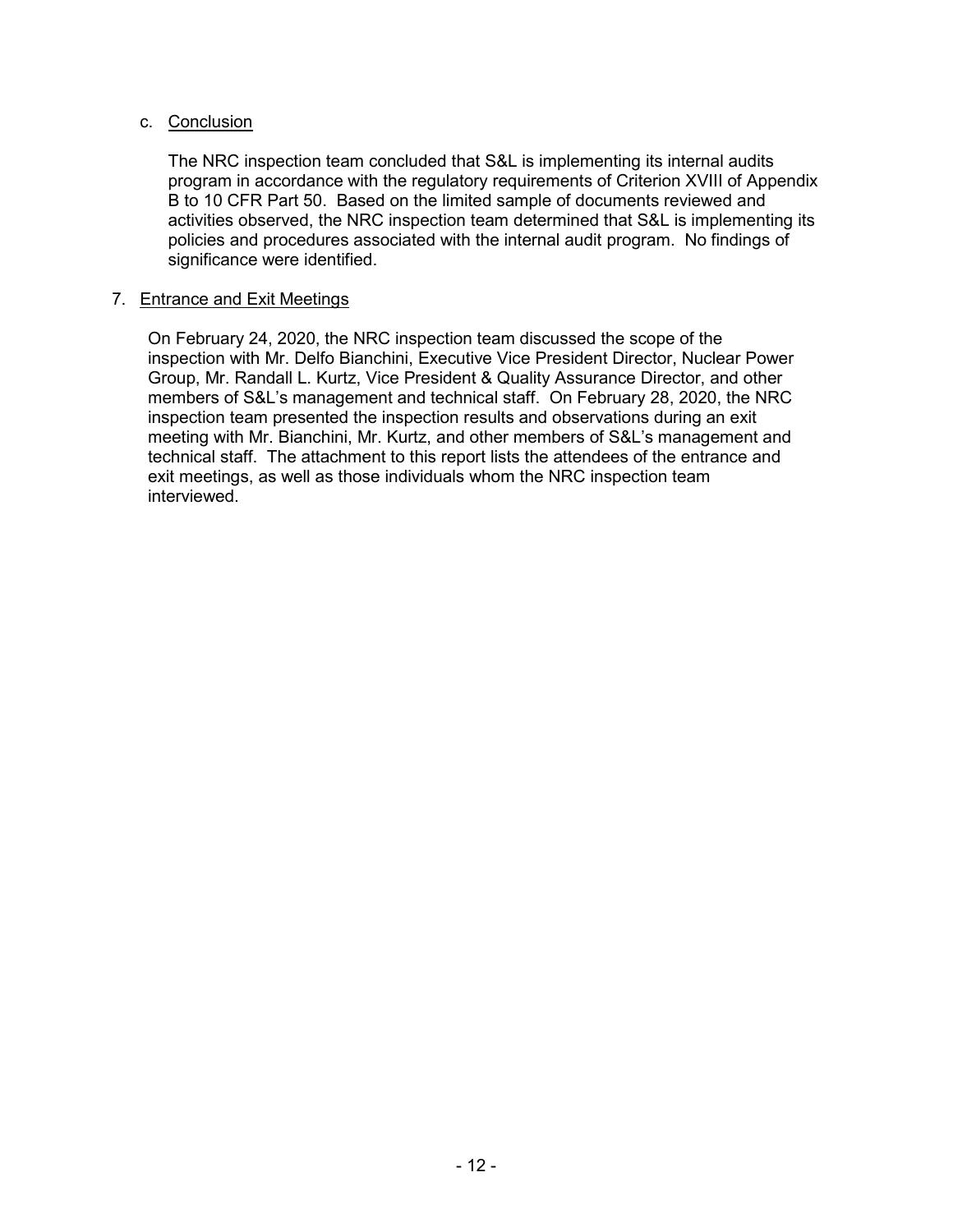# c. Conclusion

The NRC inspection team concluded that S&L is implementing its internal audits program in accordance with the regulatory requirements of Criterion XVIII of Appendix B to 10 CFR Part 50. Based on the limited sample of documents reviewed and activities observed, the NRC inspection team determined that S&L is implementing its policies and procedures associated with the internal audit program. No findings of significance were identified.

# 7. Entrance and Exit Meetings

On February 24, 2020, the NRC inspection team discussed the scope of the inspection with Mr. Delfo Bianchini, Executive Vice President Director, Nuclear Power Group, Mr. Randall L. Kurtz, Vice President & Quality Assurance Director, and other members of S&L's management and technical staff. On February 28, 2020, the NRC inspection team presented the inspection results and observations during an exit meeting with Mr. Bianchini, Mr. Kurtz, and other members of S&L's management and technical staff. The attachment to this report lists the attendees of the entrance and exit meetings, as well as those individuals whom the NRC inspection team interviewed.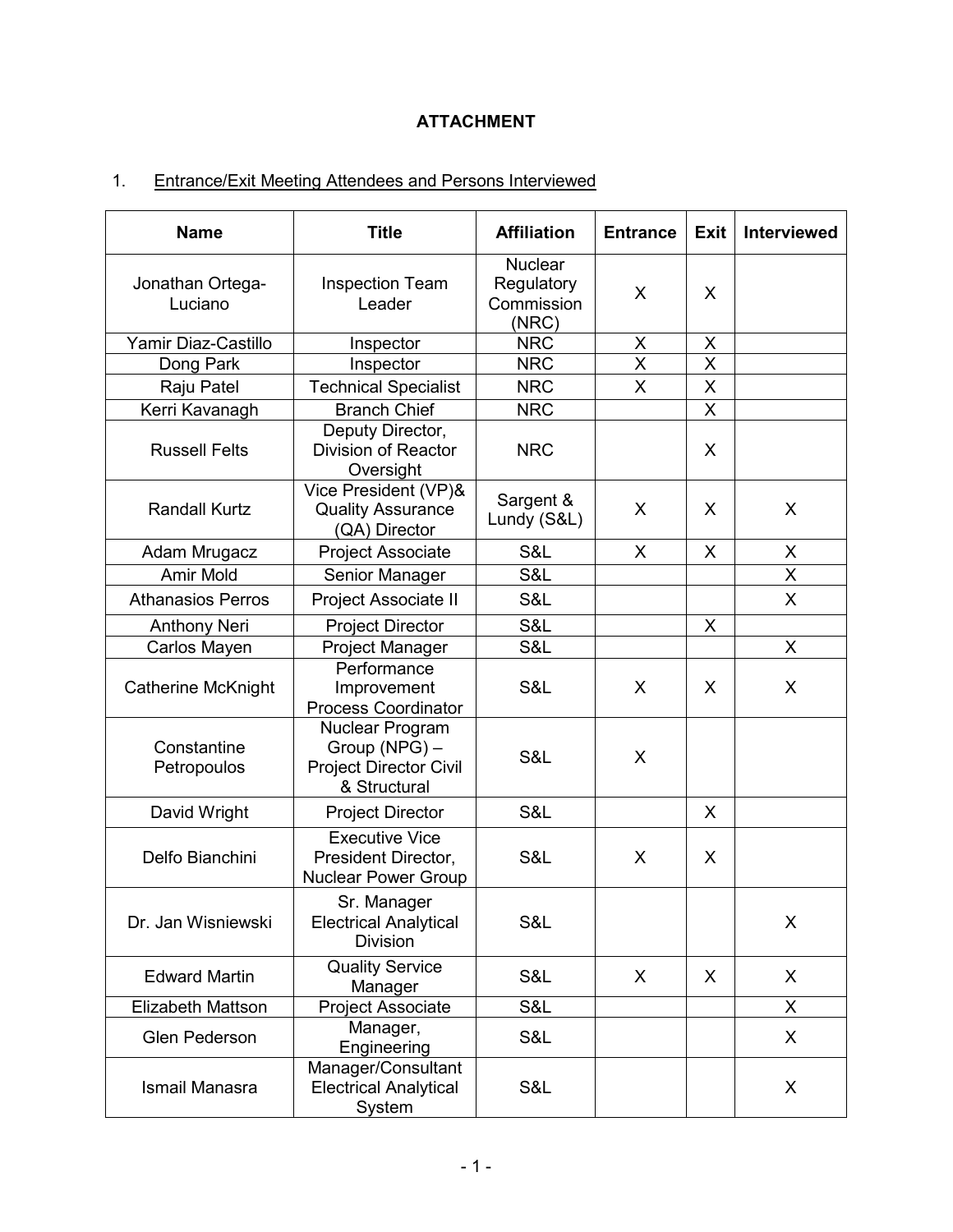# **ATTACHMENT**

# 1. Entrance/Exit Meeting Attendees and Persons Interviewed

| <b>Name</b>                 | <b>Title</b>                                                                      | <b>Affiliation</b>                                  | <b>Entrance</b>         | <b>Exit</b> | <b>Interviewed</b> |
|-----------------------------|-----------------------------------------------------------------------------------|-----------------------------------------------------|-------------------------|-------------|--------------------|
| Jonathan Ortega-<br>Luciano | <b>Inspection Team</b><br>Leader                                                  | <b>Nuclear</b><br>Regulatory<br>Commission<br>(NRC) | X                       | X           |                    |
| Yamir Diaz-Castillo         | Inspector                                                                         | <b>NRC</b>                                          | X                       | $\mathsf X$ |                    |
| Dong Park                   | Inspector                                                                         | <b>NRC</b>                                          | $\overline{\mathsf{X}}$ | X           |                    |
| Raju Patel                  | <b>Technical Specialist</b>                                                       | <b>NRC</b>                                          | X                       | X           |                    |
| Kerri Kavanagh              | <b>Branch Chief</b>                                                               | <b>NRC</b>                                          |                         | X           |                    |
| <b>Russell Felts</b>        | Deputy Director,<br><b>Division of Reactor</b><br>Oversight                       | <b>NRC</b>                                          |                         | X           |                    |
| <b>Randall Kurtz</b>        | Vice President (VP)&<br><b>Quality Assurance</b><br>(QA) Director                 | Sargent &<br>Lundy (S&L)                            | X                       | X           | X                  |
| Adam Mrugacz                | Project Associate                                                                 | S&L                                                 | X                       | X           | X                  |
| Amir Mold                   | Senior Manager                                                                    | S&L                                                 |                         |             | X                  |
| <b>Athanasios Perros</b>    | Project Associate II                                                              | S&L                                                 |                         |             | $\mathsf{X}$       |
| <b>Anthony Neri</b>         | <b>Project Director</b>                                                           | S&L                                                 |                         | X           |                    |
| Carlos Mayen                | <b>Project Manager</b>                                                            | S&L                                                 |                         |             | X                  |
| <b>Catherine McKnight</b>   | Performance<br>Improvement<br><b>Process Coordinator</b>                          | S&L                                                 | X                       | X           | X                  |
| Constantine<br>Petropoulos  | Nuclear Program<br>Group (NPG) -<br><b>Project Director Civil</b><br>& Structural | S&L                                                 | X                       |             |                    |
| David Wright                | <b>Project Director</b>                                                           | S&L                                                 |                         | X           |                    |
| Delfo Bianchini             | <b>Executive Vice</b><br>President Director,<br><b>Nuclear Power Group</b>        | S&L                                                 | X                       | X           |                    |
| Dr. Jan Wisniewski          | Sr. Manager<br><b>Electrical Analytical</b><br><b>Division</b>                    | S&L                                                 |                         |             | X                  |
| <b>Edward Martin</b>        | <b>Quality Service</b><br>Manager                                                 | S&L                                                 | X                       | X           | X                  |
| Elizabeth Mattson           | <b>Project Associate</b>                                                          | S&L                                                 |                         |             | X.                 |
| <b>Glen Pederson</b>        | Manager,<br>Engineering                                                           | S&L                                                 |                         |             | X                  |
| Ismail Manasra              | Manager/Consultant<br><b>Electrical Analytical</b><br>System                      | S&L                                                 |                         |             | X                  |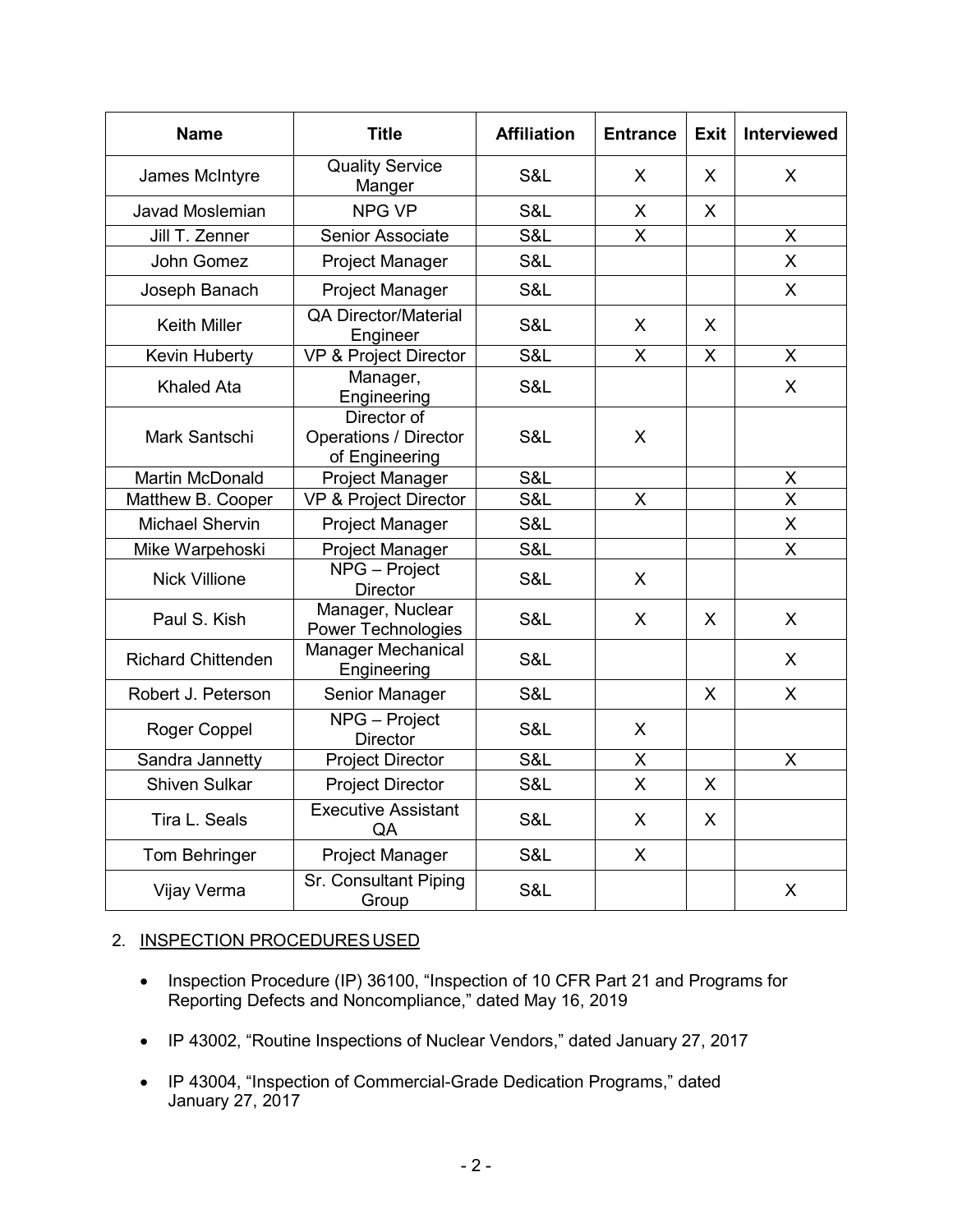| <b>Name</b>               | <b>Title</b>                                                  | <b>Affiliation</b> | <b>Entrance</b> | <b>Exit</b>  | Interviewed             |
|---------------------------|---------------------------------------------------------------|--------------------|-----------------|--------------|-------------------------|
| James McIntyre            | <b>Quality Service</b><br>Manger                              | S&L                | X               | X.           | X                       |
| <b>Javad Moslemian</b>    | <b>NPG VP</b>                                                 | S&L                | X               | $\mathsf{X}$ |                         |
| Jill T. Zenner            | <b>Senior Associate</b>                                       | S&L                | Χ               |              | X                       |
| John Gomez                | Project Manager                                               | S&L                |                 |              | $\overline{X}$          |
| Joseph Banach             | <b>Project Manager</b>                                        | S&L                |                 |              | X                       |
| <b>Keith Miller</b>       | <b>QA Director/Material</b><br>Engineer                       | S&L                | X               | X            |                         |
| Kevin Huberty             | VP & Project Director                                         | S&L                | X               | $\mathsf{X}$ | X                       |
| <b>Khaled Ata</b>         | Manager,<br>Engineering                                       | S&L                |                 |              | $\mathsf{X}$            |
| Mark Santschi             | Director of<br><b>Operations / Director</b><br>of Engineering | S&L                | X               |              |                         |
| <b>Martin McDonald</b>    | <b>Project Manager</b>                                        | S&L                |                 |              | X                       |
| Matthew B. Cooper         | <b>VP &amp; Project Director</b>                              | S&L                | X               |              | X                       |
| <b>Michael Shervin</b>    | <b>Project Manager</b>                                        | S&L                |                 |              | X                       |
| Mike Warpehoski           | <b>Project Manager</b>                                        | S&L                |                 |              | $\overline{\mathsf{X}}$ |
| <b>Nick Villione</b>      | NPG - Project<br><b>Director</b>                              | S&L                | X               |              |                         |
| Paul S. Kish              | Manager, Nuclear<br><b>Power Technologies</b>                 | S&L                | X               | X            | $\mathsf{X}$            |
| <b>Richard Chittenden</b> | Manager Mechanical<br>Engineering                             | S&L                |                 |              | X                       |
| Robert J. Peterson        | Senior Manager                                                | S&L                |                 | X            | $\mathsf{X}$            |
| Roger Coppel              | NPG - Project<br><b>Director</b>                              | S&L                | X               |              |                         |
| Sandra Jannetty           | <b>Project Director</b>                                       | S&L                | X               |              | X                       |
| <b>Shiven Sulkar</b>      | <b>Project Director</b>                                       | S&L                | X               | X            |                         |
| Tira L. Seals             | <b>Executive Assistant</b><br>QA                              | S&L                | X               | X            |                         |
| <b>Tom Behringer</b>      | <b>Project Manager</b>                                        | S&L                | X               |              |                         |
| Vijay Verma               | Sr. Consultant Piping<br>Group                                | S&L                |                 |              | X                       |

# 2. INSPECTION PROCEDURES USED

- Inspection Procedure (IP) 36100, "Inspection of 10 CFR Part 21 and Programs for Reporting Defects and Noncompliance," dated May 16, 2019
- IP 43002, "Routine Inspections of Nuclear Vendors," dated January 27, 2017
- IP 43004, "Inspection of Commercial-Grade Dedication Programs," dated January 27, 2017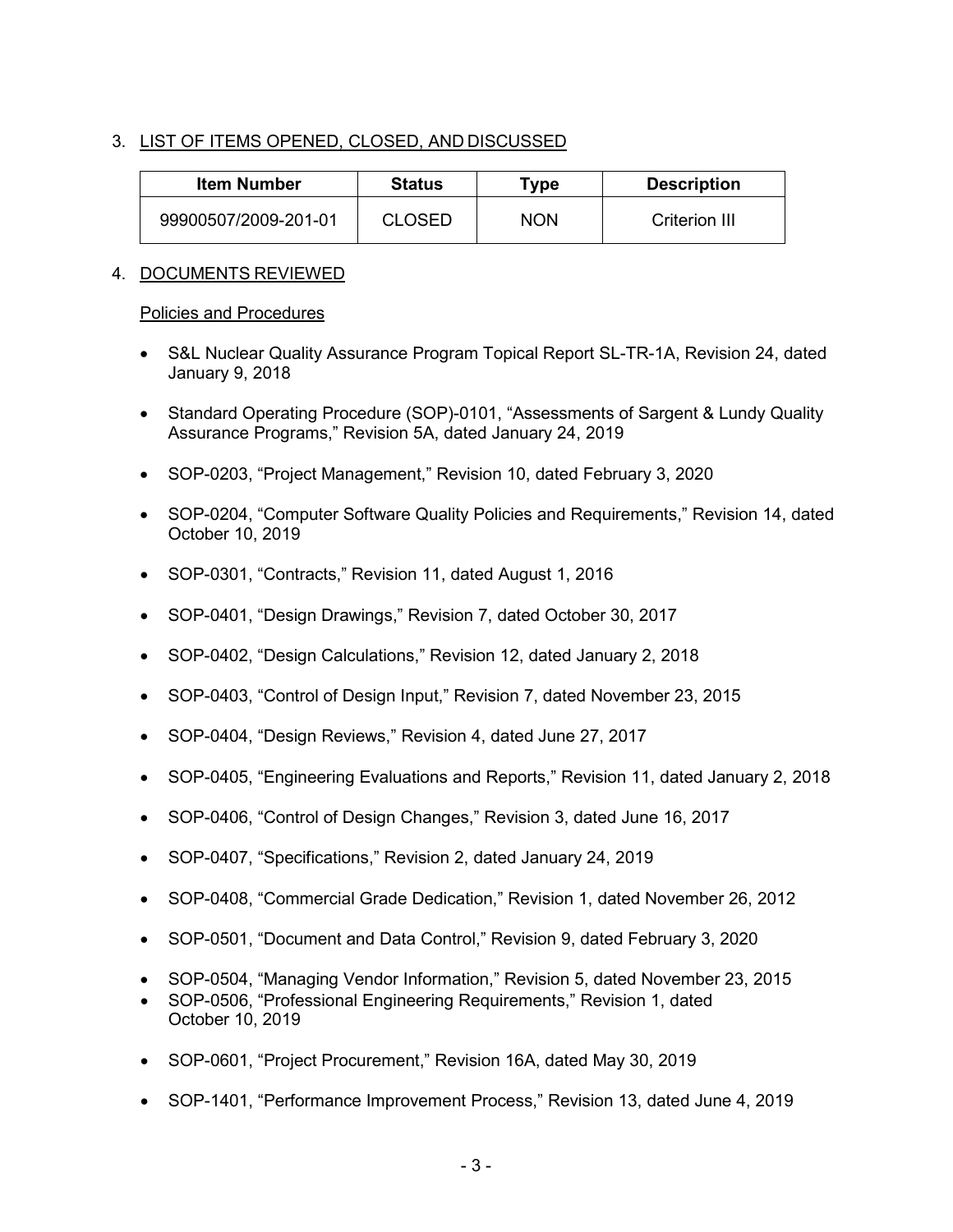# 3. LIST OF ITEMS OPENED, CLOSED, AND DISCUSSED

| Item Number          | <b>Status</b> | Type       | <b>Description</b> |
|----------------------|---------------|------------|--------------------|
| 99900507/2009-201-01 | <b>CLOSED</b> | <b>NON</b> | Criterion III      |

# 4. DOCUMENTS REVIEWED

#### Policies and Procedures

- S&L Nuclear Quality Assurance Program Topical Report SL-TR-1A, Revision 24, dated January 9, 2018
- Standard Operating Procedure (SOP)-0101, "Assessments of Sargent & Lundy Quality Assurance Programs," Revision 5A, dated January 24, 2019
- SOP-0203, "Project Management," Revision 10, dated February 3, 2020
- SOP-0204, "Computer Software Quality Policies and Requirements," Revision 14, dated October 10, 2019
- SOP-0301, "Contracts," Revision 11, dated August 1, 2016
- SOP-0401, "Design Drawings," Revision 7, dated October 30, 2017
- SOP-0402, "Design Calculations," Revision 12, dated January 2, 2018
- SOP-0403, "Control of Design Input," Revision 7, dated November 23, 2015
- SOP-0404, "Design Reviews," Revision 4, dated June 27, 2017
- SOP-0405, "Engineering Evaluations and Reports," Revision 11, dated January 2, 2018
- SOP-0406, "Control of Design Changes," Revision 3, dated June 16, 2017
- SOP-0407, "Specifications," Revision 2, dated January 24, 2019
- SOP-0408, "Commercial Grade Dedication," Revision 1, dated November 26, 2012
- SOP-0501, "Document and Data Control," Revision 9, dated February 3, 2020
- SOP-0504, "Managing Vendor Information," Revision 5, dated November 23, 2015
- SOP-0506, "Professional Engineering Requirements," Revision 1, dated October 10, 2019
- SOP-0601, "Project Procurement," Revision 16A, dated May 30, 2019
- SOP-1401, "Performance Improvement Process," Revision 13, dated June 4, 2019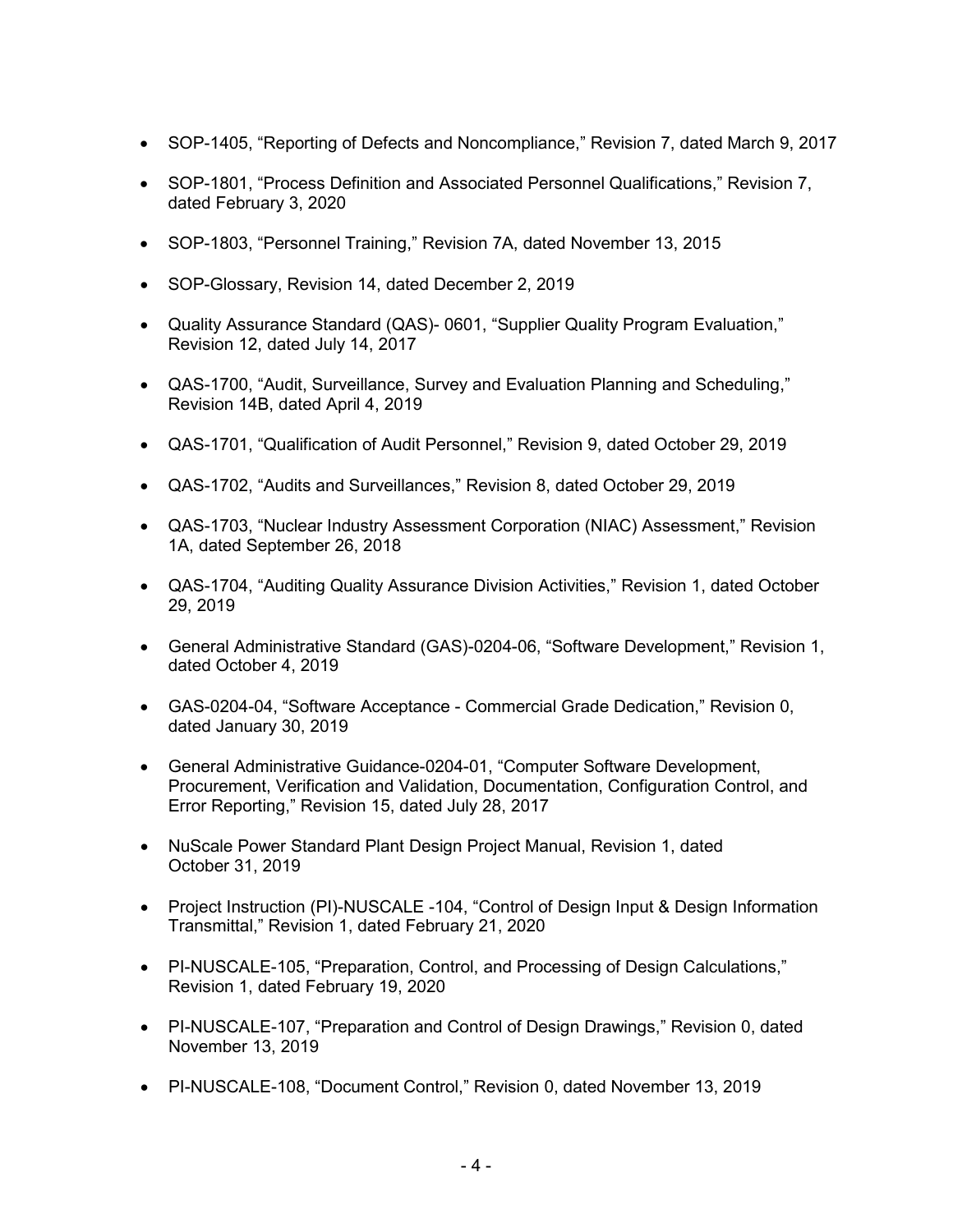- SOP-1405, "Reporting of Defects and Noncompliance," Revision 7, dated March 9, 2017
- SOP-1801, "Process Definition and Associated Personnel Qualifications," Revision 7, dated February 3, 2020
- SOP-1803, "Personnel Training," Revision 7A, dated November 13, 2015
- SOP-Glossary, Revision 14, dated December 2, 2019
- Quality Assurance Standard (QAS)- 0601, "Supplier Quality Program Evaluation," Revision 12, dated July 14, 2017
- QAS-1700, "Audit, Surveillance, Survey and Evaluation Planning and Scheduling," Revision 14B, dated April 4, 2019
- QAS-1701, "Qualification of Audit Personnel," Revision 9, dated October 29, 2019
- QAS-1702, "Audits and Surveillances," Revision 8, dated October 29, 2019
- QAS-1703, "Nuclear Industry Assessment Corporation (NIAC) Assessment," Revision 1A, dated September 26, 2018
- QAS-1704, "Auditing Quality Assurance Division Activities," Revision 1, dated October 29, 2019
- General Administrative Standard (GAS)-0204-06, "Software Development," Revision 1, dated October 4, 2019
- GAS-0204-04, "Software Acceptance Commercial Grade Dedication," Revision 0, dated January 30, 2019
- General Administrative Guidance-0204-01, "Computer Software Development, Procurement, Verification and Validation, Documentation, Configuration Control, and Error Reporting," Revision 15, dated July 28, 2017
- NuScale Power Standard Plant Design Project Manual, Revision 1, dated October 31, 2019
- Project Instruction (PI)-NUSCALE -104, "Control of Design Input & Design Information Transmittal," Revision 1, dated February 21, 2020
- PI-NUSCALE-105, "Preparation, Control, and Processing of Design Calculations," Revision 1, dated February 19, 2020
- PI-NUSCALE-107, "Preparation and Control of Design Drawings," Revision 0, dated November 13, 2019
- PI-NUSCALE-108, "Document Control," Revision 0, dated November 13, 2019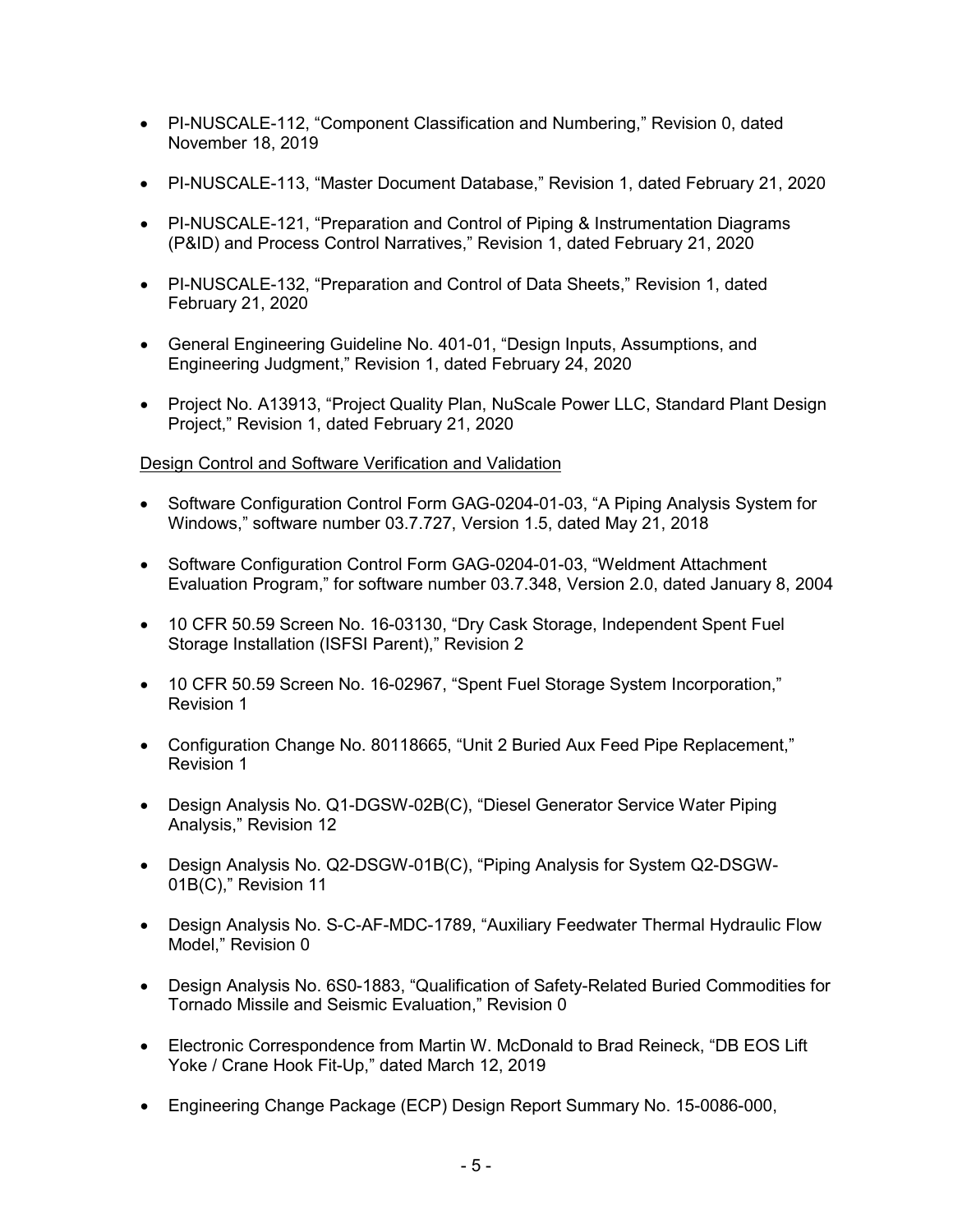- PI-NUSCALE-112, "Component Classification and Numbering," Revision 0, dated November 18, 2019
- PI-NUSCALE-113, "Master Document Database," Revision 1, dated February 21, 2020
- PI-NUSCALE-121, "Preparation and Control of Piping & Instrumentation Diagrams (P&ID) and Process Control Narratives," Revision 1, dated February 21, 2020
- PI-NUSCALE-132, "Preparation and Control of Data Sheets," Revision 1, dated February 21, 2020
- General Engineering Guideline No. 401-01, "Design Inputs, Assumptions, and Engineering Judgment," Revision 1, dated February 24, 2020
- Project No. A13913, "Project Quality Plan, NuScale Power LLC, Standard Plant Design Project," Revision 1, dated February 21, 2020

# Design Control and Software Verification and Validation

- Software Configuration Control Form GAG-0204-01-03, "A Piping Analysis System for Windows," software number 03.7.727, Version 1.5, dated May 21, 2018
- Software Configuration Control Form GAG-0204-01-03, "Weldment Attachment Evaluation Program," for software number 03.7.348, Version 2.0, dated January 8, 2004
- 10 CFR 50.59 Screen No. 16-03130, "Dry Cask Storage, Independent Spent Fuel Storage Installation (ISFSI Parent)," Revision 2
- 10 CFR 50.59 Screen No. 16-02967, "Spent Fuel Storage System Incorporation," Revision 1
- Configuration Change No. 80118665, "Unit 2 Buried Aux Feed Pipe Replacement," Revision 1
- Design Analysis No. Q1-DGSW-02B(C), "Diesel Generator Service Water Piping Analysis," Revision 12
- Design Analysis No. Q2-DSGW-01B(C), "Piping Analysis for System Q2-DSGW-01B(C)," Revision 11
- Design Analysis No. S-C-AF-MDC-1789, "Auxiliary Feedwater Thermal Hydraulic Flow Model," Revision 0
- Design Analysis No. 6S0-1883, "Qualification of Safety-Related Buried Commodities for Tornado Missile and Seismic Evaluation," Revision 0
- Electronic Correspondence from Martin W. McDonald to Brad Reineck, "DB EOS Lift Yoke / Crane Hook Fit-Up," dated March 12, 2019
- Engineering Change Package (ECP) Design Report Summary No. 15-0086-000,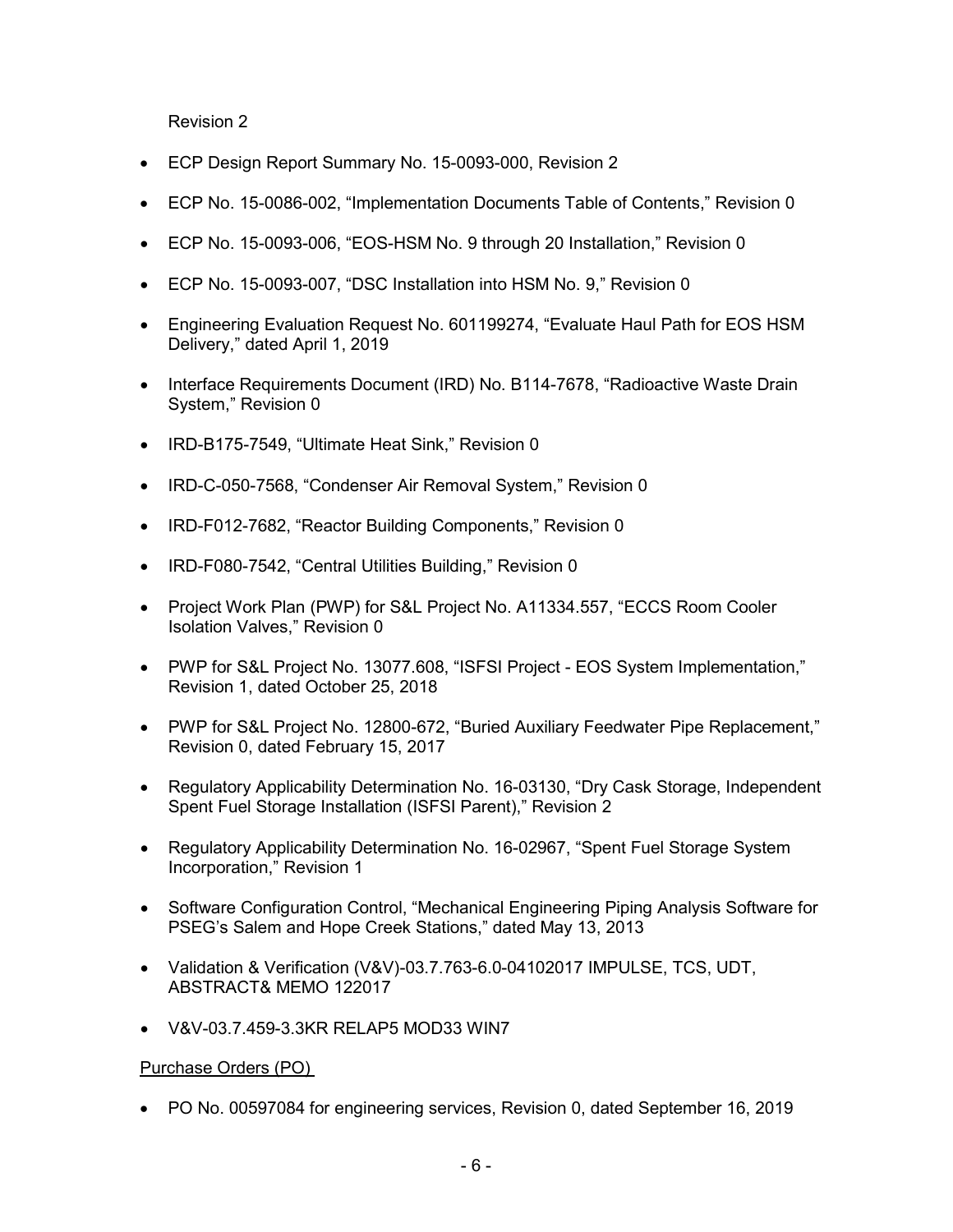Revision 2

- ECP Design Report Summary No. 15-0093-000, Revision 2
- ECP No. 15-0086-002, "Implementation Documents Table of Contents," Revision 0
- ECP No. 15-0093-006, "EOS-HSM No. 9 through 20 Installation," Revision 0
- ECP No. 15-0093-007, "DSC Installation into HSM No. 9," Revision 0
- Engineering Evaluation Request No. 601199274, "Evaluate Haul Path for EOS HSM Delivery," dated April 1, 2019
- Interface Requirements Document (IRD) No. B114-7678, "Radioactive Waste Drain System," Revision 0
- IRD-B175-7549, "Ultimate Heat Sink," Revision 0
- IRD-C-050-7568, "Condenser Air Removal System," Revision 0
- IRD-F012-7682, "Reactor Building Components," Revision 0
- IRD-F080-7542, "Central Utilities Building," Revision 0
- Project Work Plan (PWP) for S&L Project No. A11334.557, "ECCS Room Cooler Isolation Valves," Revision 0
- PWP for S&L Project No. 13077.608, "ISFSI Project EOS System Implementation," Revision 1, dated October 25, 2018
- PWP for S&L Project No. 12800-672, "Buried Auxiliary Feedwater Pipe Replacement," Revision 0, dated February 15, 2017
- Regulatory Applicability Determination No. 16-03130, "Dry Cask Storage, Independent Spent Fuel Storage Installation (ISFSI Parent)," Revision 2
- Regulatory Applicability Determination No. 16-02967, "Spent Fuel Storage System Incorporation," Revision 1
- Software Configuration Control, "Mechanical Engineering Piping Analysis Software for PSEG's Salem and Hope Creek Stations," dated May 13, 2013
- Validation & Verification (V&V)-03.7.763-6.0-04102017 IMPULSE, TCS, UDT, ABSTRACT& MEMO 122017
- V&V-03.7.459-3.3KR RELAP5 MOD33 WIN7

# Purchase Orders (PO)

• PO No. 00597084 for engineering services, Revision 0, dated September 16, 2019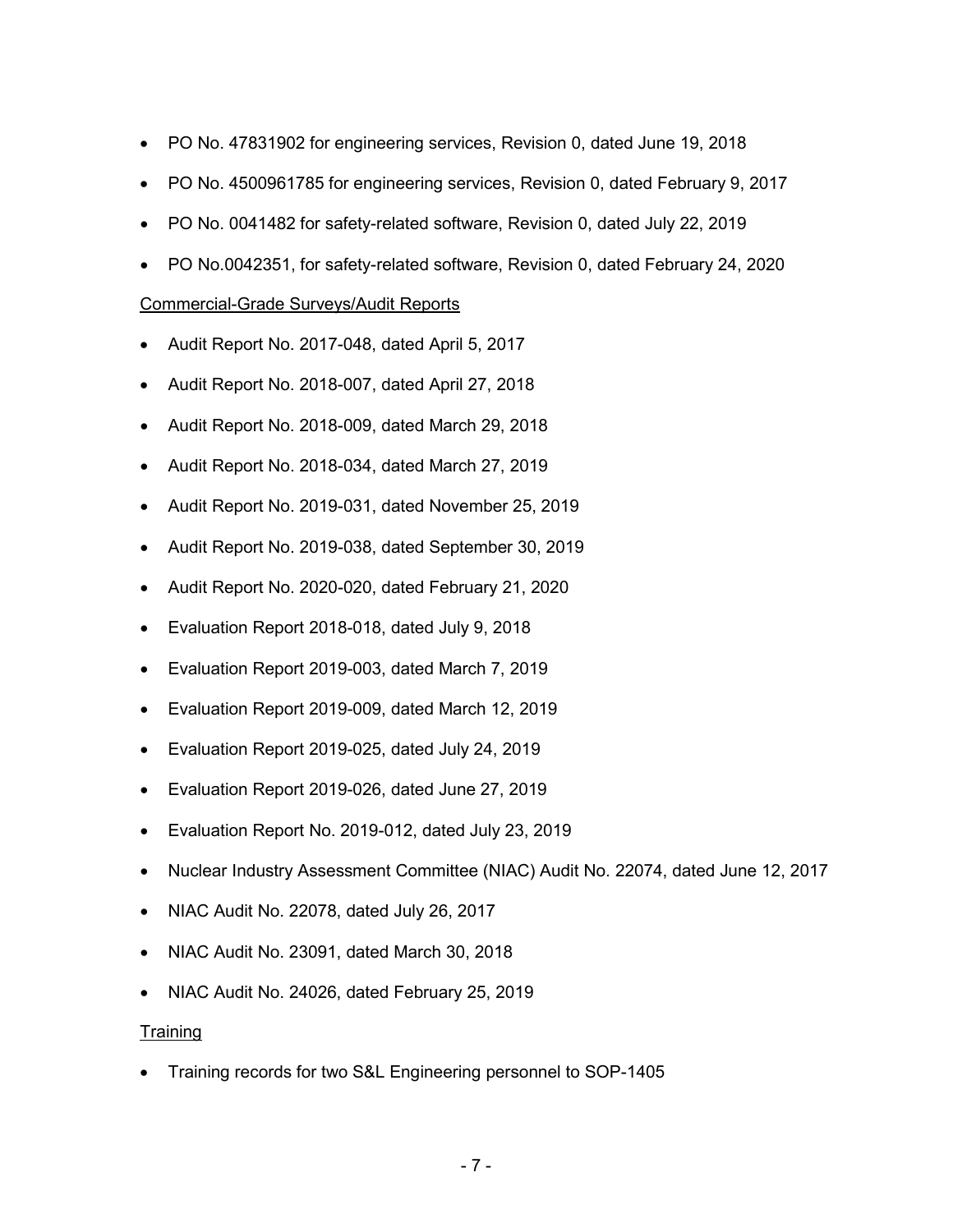- PO No. 47831902 for engineering services, Revision 0, dated June 19, 2018
- PO No. 4500961785 for engineering services, Revision 0, dated February 9, 2017
- PO No. 0041482 for safety-related software, Revision 0, dated July 22, 2019
- PO No.0042351, for safety-related software, Revision 0, dated February 24, 2020

# Commercial-Grade Surveys/Audit Reports

- Audit Report No. 2017-048, dated April 5, 2017
- Audit Report No. 2018-007, dated April 27, 2018
- Audit Report No. 2018-009, dated March 29, 2018
- Audit Report No. 2018-034, dated March 27, 2019
- Audit Report No. 2019-031, dated November 25, 2019
- Audit Report No. 2019-038, dated September 30, 2019
- Audit Report No. 2020-020, dated February 21, 2020
- Evaluation Report 2018-018, dated July 9, 2018
- Evaluation Report 2019-003, dated March 7, 2019
- Evaluation Report 2019-009, dated March 12, 2019
- Evaluation Report 2019-025, dated July 24, 2019
- Evaluation Report 2019-026, dated June 27, 2019
- Evaluation Report No. 2019-012, dated July 23, 2019
- Nuclear Industry Assessment Committee (NIAC) Audit No. 22074, dated June 12, 2017
- NIAC Audit No. 22078, dated July 26, 2017
- NIAC Audit No. 23091, dated March 30, 2018
- NIAC Audit No. 24026, dated February 25, 2019

# **Training**

• Training records for two S&L Engineering personnel to SOP-1405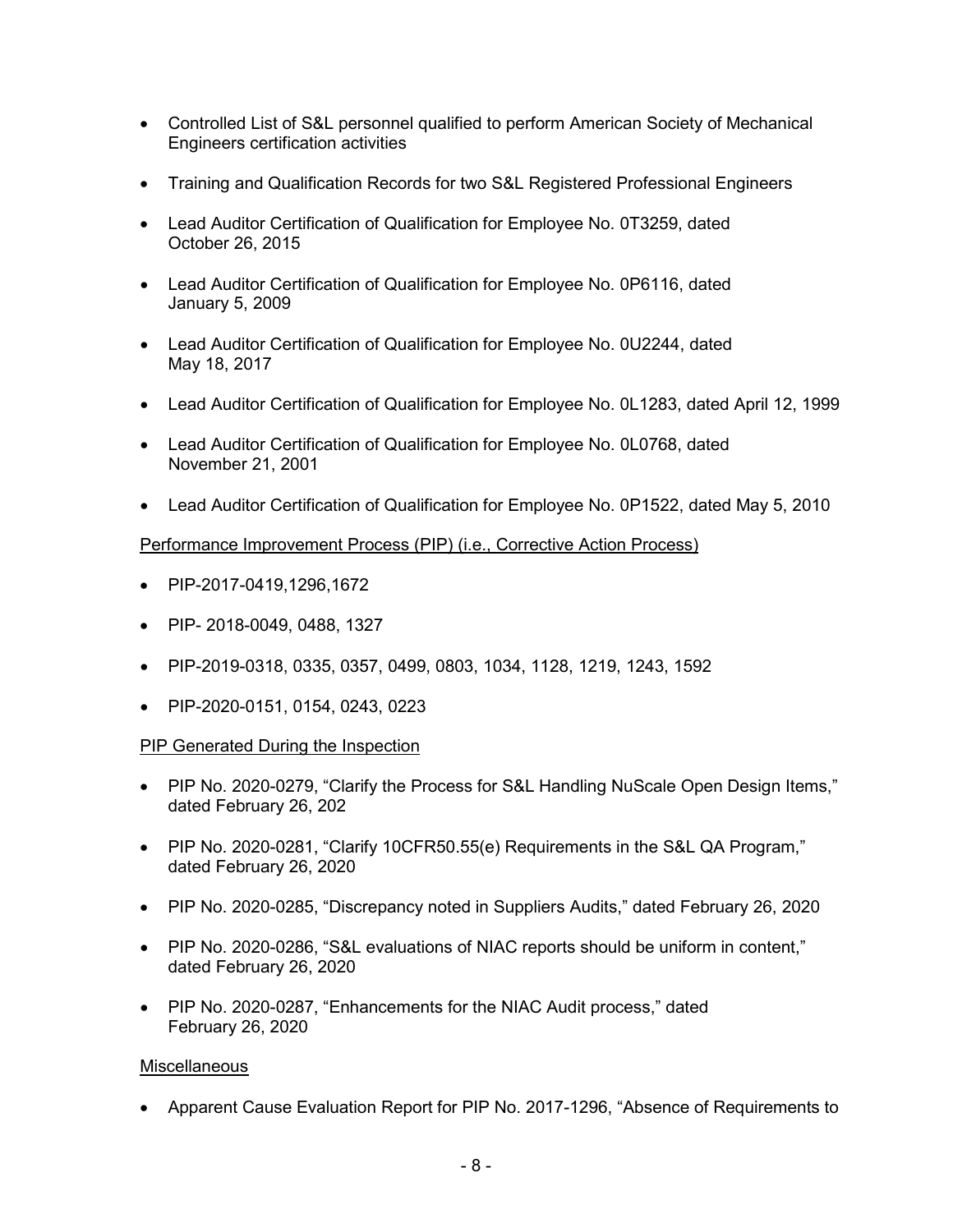- Controlled List of S&L personnel qualified to perform American Society of Mechanical Engineers certification activities
- Training and Qualification Records for two S&L Registered Professional Engineers
- Lead Auditor Certification of Qualification for Employee No. 0T3259, dated October 26, 2015
- Lead Auditor Certification of Qualification for Employee No. 0P6116, dated January 5, 2009
- Lead Auditor Certification of Qualification for Employee No. 0U2244, dated May 18, 2017
- Lead Auditor Certification of Qualification for Employee No. 0L1283, dated April 12, 1999
- Lead Auditor Certification of Qualification for Employee No. 0L0768, dated November 21, 2001
- Lead Auditor Certification of Qualification for Employee No. 0P1522, dated May 5, 2010

# Performance Improvement Process (PIP) (i.e., Corrective Action Process)

- PIP-2017-0419,1296,1672
- PIP- 2018-0049, 0488, 1327
- PIP-2019-0318, 0335, 0357, 0499, 0803, 1034, 1128, 1219, 1243, 1592
- PIP-2020-0151, 0154, 0243, 0223

# PIP Generated During the Inspection

- PIP No. 2020-0279, "Clarify the Process for S&L Handling NuScale Open Design Items," dated February 26, 202
- PIP No. 2020-0281, "Clarify 10CFR50.55(e) Requirements in the S&L QA Program," dated February 26, 2020
- PIP No. 2020-0285, "Discrepancy noted in Suppliers Audits," dated February 26, 2020
- PIP No. 2020-0286, "S&L evaluations of NIAC reports should be uniform in content," dated February 26, 2020
- PIP No. 2020-0287, "Enhancements for the NIAC Audit process," dated February 26, 2020

# **Miscellaneous**

• Apparent Cause Evaluation Report for PIP No. 2017-1296, "Absence of Requirements to